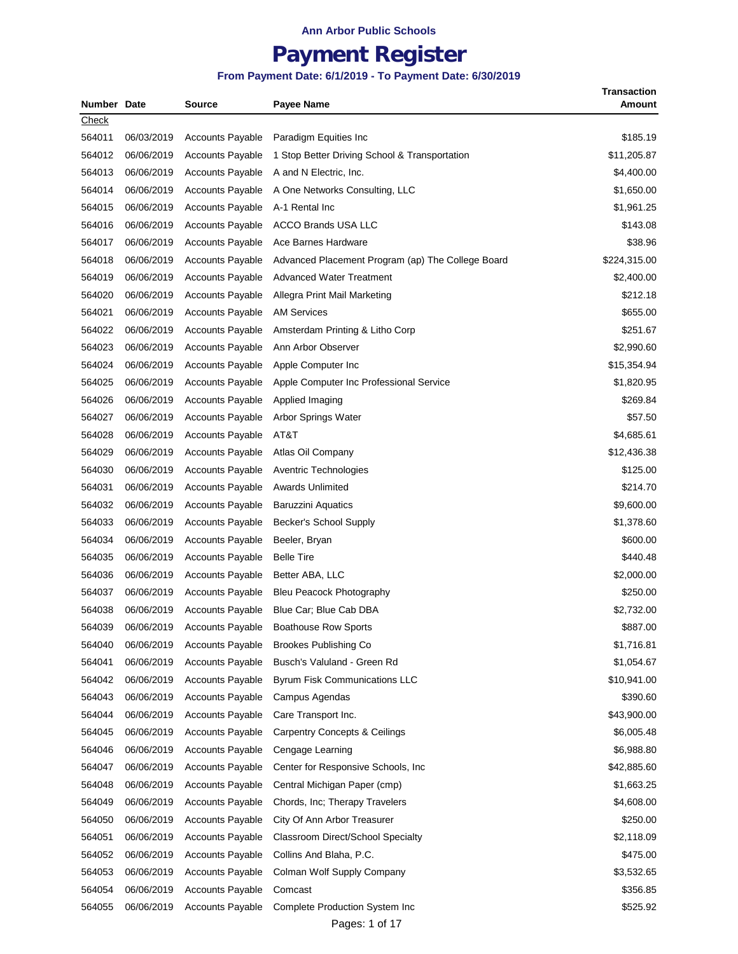## **Payment Register**

#### **From Payment Date: 6/1/2019 - To Payment Date: 6/30/2019**

| Number Date |            | Source                                             | <b>Payee Name</b>                                 | <b>Transaction</b><br>Amount |
|-------------|------------|----------------------------------------------------|---------------------------------------------------|------------------------------|
| Check       |            |                                                    |                                                   |                              |
| 564011      | 06/03/2019 | <b>Accounts Payable</b>                            | Paradigm Equities Inc.                            | \$185.19                     |
| 564012      | 06/06/2019 | <b>Accounts Payable</b>                            | 1 Stop Better Driving School & Transportation     | \$11,205.87                  |
| 564013      | 06/06/2019 | <b>Accounts Payable</b>                            | A and N Electric, Inc.                            | \$4,400.00                   |
| 564014      | 06/06/2019 | <b>Accounts Payable</b>                            | A One Networks Consulting, LLC                    | \$1,650.00                   |
| 564015      | 06/06/2019 | <b>Accounts Payable</b>                            | A-1 Rental Inc                                    | \$1,961.25                   |
| 564016      | 06/06/2019 | <b>Accounts Payable</b>                            | <b>ACCO Brands USA LLC</b>                        | \$143.08                     |
| 564017      | 06/06/2019 | <b>Accounts Payable</b>                            | Ace Barnes Hardware                               | \$38.96                      |
| 564018      | 06/06/2019 | <b>Accounts Payable</b>                            | Advanced Placement Program (ap) The College Board | \$224,315.00                 |
|             |            |                                                    | <b>Advanced Water Treatment</b>                   |                              |
| 564019      | 06/06/2019 | <b>Accounts Payable</b><br><b>Accounts Payable</b> |                                                   | \$2,400.00<br>\$212.18       |
| 564020      | 06/06/2019 |                                                    | Allegra Print Mail Marketing                      |                              |
| 564021      | 06/06/2019 | <b>Accounts Payable</b>                            | <b>AM Services</b>                                | \$655.00                     |
| 564022      | 06/06/2019 | <b>Accounts Payable</b>                            | Amsterdam Printing & Litho Corp                   | \$251.67                     |
| 564023      | 06/06/2019 | <b>Accounts Payable</b>                            | Ann Arbor Observer                                | \$2,990.60                   |
| 564024      | 06/06/2019 | <b>Accounts Payable</b>                            | Apple Computer Inc.                               | \$15,354.94                  |
| 564025      | 06/06/2019 | <b>Accounts Payable</b>                            | Apple Computer Inc Professional Service           | \$1,820.95                   |
| 564026      | 06/06/2019 | <b>Accounts Payable</b>                            | Applied Imaging                                   | \$269.84                     |
| 564027      | 06/06/2019 | <b>Accounts Payable</b>                            | Arbor Springs Water                               | \$57.50                      |
| 564028      | 06/06/2019 | <b>Accounts Payable</b>                            | AT&T                                              | \$4,685.61                   |
| 564029      | 06/06/2019 | <b>Accounts Payable</b>                            | Atlas Oil Company                                 | \$12,436.38                  |
| 564030      | 06/06/2019 | <b>Accounts Payable</b>                            | Aventric Technologies                             | \$125.00                     |
| 564031      | 06/06/2019 | <b>Accounts Payable</b>                            | <b>Awards Unlimited</b>                           | \$214.70                     |
| 564032      | 06/06/2019 | <b>Accounts Payable</b>                            | Baruzzini Aquatics                                | \$9,600.00                   |
| 564033      | 06/06/2019 | <b>Accounts Payable</b>                            | Becker's School Supply                            | \$1,378.60                   |
| 564034      | 06/06/2019 | <b>Accounts Payable</b>                            | Beeler, Bryan                                     | \$600.00                     |
| 564035      | 06/06/2019 | <b>Accounts Payable</b>                            | <b>Belle Tire</b>                                 | \$440.48                     |
| 564036      | 06/06/2019 | <b>Accounts Payable</b>                            | Better ABA, LLC                                   | \$2,000.00                   |
| 564037      | 06/06/2019 | <b>Accounts Payable</b>                            | <b>Bleu Peacock Photography</b>                   | \$250.00                     |
| 564038      | 06/06/2019 | <b>Accounts Payable</b>                            | Blue Car; Blue Cab DBA                            | \$2,732.00                   |
| 564039      | 06/06/2019 | <b>Accounts Payable</b>                            | <b>Boathouse Row Sports</b>                       | \$887.00                     |
| 564040      | 06/06/2019 | <b>Accounts Payable</b>                            | Brookes Publishing Co                             | \$1,716.81                   |
| 564041      | 06/06/2019 | <b>Accounts Payable</b>                            | Busch's Valuland - Green Rd                       | \$1,054.67                   |
| 564042      | 06/06/2019 | <b>Accounts Payable</b>                            | Byrum Fisk Communications LLC                     | \$10,941.00                  |
| 564043      | 06/06/2019 | <b>Accounts Payable</b>                            | Campus Agendas                                    | \$390.60                     |
| 564044      | 06/06/2019 | <b>Accounts Payable</b>                            | Care Transport Inc.                               | \$43,900.00                  |
| 564045      | 06/06/2019 | <b>Accounts Payable</b>                            | <b>Carpentry Concepts &amp; Ceilings</b>          | \$6,005.48                   |
| 564046      | 06/06/2019 | <b>Accounts Payable</b>                            | Cengage Learning                                  | \$6,988.80                   |
| 564047      | 06/06/2019 | <b>Accounts Payable</b>                            | Center for Responsive Schools, Inc.               | \$42,885.60                  |
| 564048      | 06/06/2019 | <b>Accounts Payable</b>                            | Central Michigan Paper (cmp)                      | \$1,663.25                   |
| 564049      | 06/06/2019 | <b>Accounts Payable</b>                            | Chords, Inc; Therapy Travelers                    | \$4,608.00                   |
| 564050      | 06/06/2019 | <b>Accounts Payable</b>                            | City Of Ann Arbor Treasurer                       | \$250.00                     |
| 564051      | 06/06/2019 | <b>Accounts Payable</b>                            | Classroom Direct/School Specialty                 | \$2,118.09                   |
| 564052      | 06/06/2019 | <b>Accounts Payable</b>                            | Collins And Blaha, P.C.                           | \$475.00                     |
| 564053      | 06/06/2019 | <b>Accounts Payable</b>                            | Colman Wolf Supply Company                        | \$3,532.65                   |
| 564054      | 06/06/2019 | <b>Accounts Payable</b>                            | Comcast                                           | \$356.85                     |
| 564055      | 06/06/2019 | <b>Accounts Payable</b>                            | Complete Production System Inc                    | \$525.92                     |
|             |            |                                                    |                                                   |                              |

Pages: 1 of 17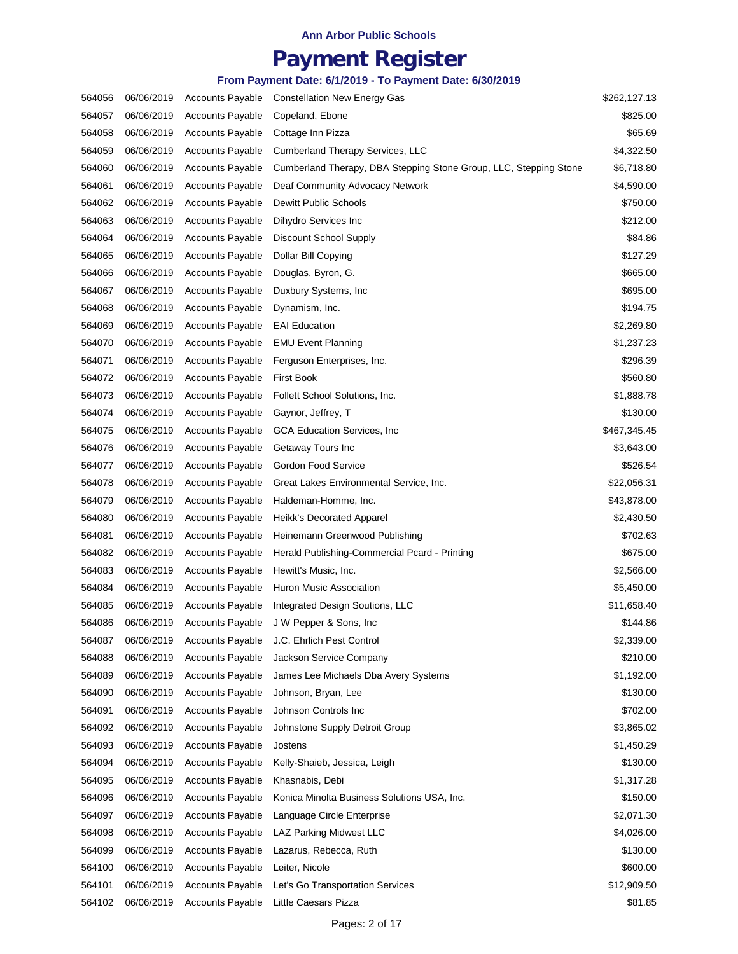## **Payment Register**

| 564056 | 06/06/2019 | <b>Accounts Payable</b> | <b>Constellation New Energy Gas</b>                               | \$262,127.13 |
|--------|------------|-------------------------|-------------------------------------------------------------------|--------------|
| 564057 | 06/06/2019 | <b>Accounts Payable</b> | Copeland, Ebone                                                   | \$825.00     |
| 564058 | 06/06/2019 | <b>Accounts Payable</b> | Cottage Inn Pizza                                                 | \$65.69      |
| 564059 | 06/06/2019 | <b>Accounts Payable</b> | Cumberland Therapy Services, LLC                                  | \$4,322.50   |
| 564060 | 06/06/2019 | <b>Accounts Payable</b> | Cumberland Therapy, DBA Stepping Stone Group, LLC, Stepping Stone | \$6,718.80   |
| 564061 | 06/06/2019 | <b>Accounts Payable</b> | Deaf Community Advocacy Network                                   | \$4,590.00   |
| 564062 | 06/06/2019 | <b>Accounts Payable</b> | <b>Dewitt Public Schools</b>                                      | \$750.00     |
| 564063 | 06/06/2019 | <b>Accounts Payable</b> | Dihydro Services Inc                                              | \$212.00     |
| 564064 | 06/06/2019 | <b>Accounts Payable</b> | Discount School Supply                                            | \$84.86      |
| 564065 | 06/06/2019 | <b>Accounts Payable</b> | Dollar Bill Copying                                               | \$127.29     |
| 564066 | 06/06/2019 | <b>Accounts Payable</b> | Douglas, Byron, G.                                                | \$665.00     |
| 564067 | 06/06/2019 | <b>Accounts Payable</b> | Duxbury Systems, Inc.                                             | \$695.00     |
| 564068 | 06/06/2019 | <b>Accounts Payable</b> | Dynamism, Inc.                                                    | \$194.75     |
| 564069 | 06/06/2019 | <b>Accounts Payable</b> | <b>EAI Education</b>                                              | \$2,269.80   |
| 564070 | 06/06/2019 | <b>Accounts Payable</b> | <b>EMU Event Planning</b>                                         | \$1,237.23   |
| 564071 | 06/06/2019 | <b>Accounts Payable</b> | Ferguson Enterprises, Inc.                                        | \$296.39     |
| 564072 | 06/06/2019 | <b>Accounts Payable</b> | <b>First Book</b>                                                 | \$560.80     |
| 564073 | 06/06/2019 | <b>Accounts Payable</b> | Follett School Solutions, Inc.                                    | \$1,888.78   |
| 564074 | 06/06/2019 | <b>Accounts Payable</b> | Gaynor, Jeffrey, T                                                | \$130.00     |
| 564075 | 06/06/2019 | <b>Accounts Payable</b> | <b>GCA Education Services, Inc.</b>                               | \$467,345.45 |
| 564076 | 06/06/2019 | <b>Accounts Payable</b> | Getaway Tours Inc                                                 | \$3,643.00   |
| 564077 | 06/06/2019 | <b>Accounts Payable</b> | Gordon Food Service                                               | \$526.54     |
| 564078 | 06/06/2019 | <b>Accounts Payable</b> | Great Lakes Environmental Service, Inc.                           | \$22,056.31  |
| 564079 | 06/06/2019 | <b>Accounts Payable</b> | Haldeman-Homme, Inc.                                              | \$43,878.00  |
| 564080 | 06/06/2019 | <b>Accounts Payable</b> | Heikk's Decorated Apparel                                         | \$2,430.50   |
| 564081 | 06/06/2019 | <b>Accounts Payable</b> | Heinemann Greenwood Publishing                                    | \$702.63     |
| 564082 | 06/06/2019 | <b>Accounts Payable</b> | Herald Publishing-Commercial Pcard - Printing                     | \$675.00     |
| 564083 | 06/06/2019 | <b>Accounts Payable</b> | Hewitt's Music, Inc.                                              | \$2,566.00   |
| 564084 | 06/06/2019 | <b>Accounts Payable</b> | Huron Music Association                                           | \$5,450.00   |
| 564085 | 06/06/2019 | <b>Accounts Payable</b> | Integrated Design Soutions, LLC                                   | \$11,658.40  |
| 564086 | 06/06/2019 | <b>Accounts Payable</b> | J W Pepper & Sons, Inc.                                           | \$144.86     |
| 564087 | 06/06/2019 | <b>Accounts Payable</b> | J.C. Ehrlich Pest Control                                         | \$2,339.00   |
| 564088 | 06/06/2019 | <b>Accounts Payable</b> | Jackson Service Company                                           | \$210.00     |
| 564089 | 06/06/2019 | <b>Accounts Payable</b> | James Lee Michaels Dba Avery Systems                              | \$1,192.00   |
| 564090 | 06/06/2019 | <b>Accounts Payable</b> | Johnson, Bryan, Lee                                               | \$130.00     |
| 564091 | 06/06/2019 | <b>Accounts Payable</b> | Johnson Controls Inc                                              | \$702.00     |
| 564092 | 06/06/2019 | <b>Accounts Payable</b> | Johnstone Supply Detroit Group                                    | \$3,865.02   |
| 564093 | 06/06/2019 | <b>Accounts Payable</b> | Jostens                                                           | \$1,450.29   |
| 564094 | 06/06/2019 | <b>Accounts Payable</b> | Kelly-Shaieb, Jessica, Leigh                                      | \$130.00     |
| 564095 | 06/06/2019 | <b>Accounts Payable</b> | Khasnabis, Debi                                                   | \$1,317.28   |
| 564096 | 06/06/2019 | <b>Accounts Payable</b> | Konica Minolta Business Solutions USA, Inc.                       | \$150.00     |
| 564097 | 06/06/2019 | <b>Accounts Payable</b> | Language Circle Enterprise                                        | \$2,071.30   |
| 564098 | 06/06/2019 | <b>Accounts Payable</b> | LAZ Parking Midwest LLC                                           | \$4,026.00   |
| 564099 | 06/06/2019 | <b>Accounts Payable</b> | Lazarus, Rebecca, Ruth                                            | \$130.00     |
| 564100 | 06/06/2019 | <b>Accounts Payable</b> | Leiter, Nicole                                                    | \$600.00     |
| 564101 | 06/06/2019 | <b>Accounts Payable</b> | Let's Go Transportation Services                                  | \$12,909.50  |
| 564102 | 06/06/2019 | <b>Accounts Payable</b> | Little Caesars Pizza                                              | \$81.85      |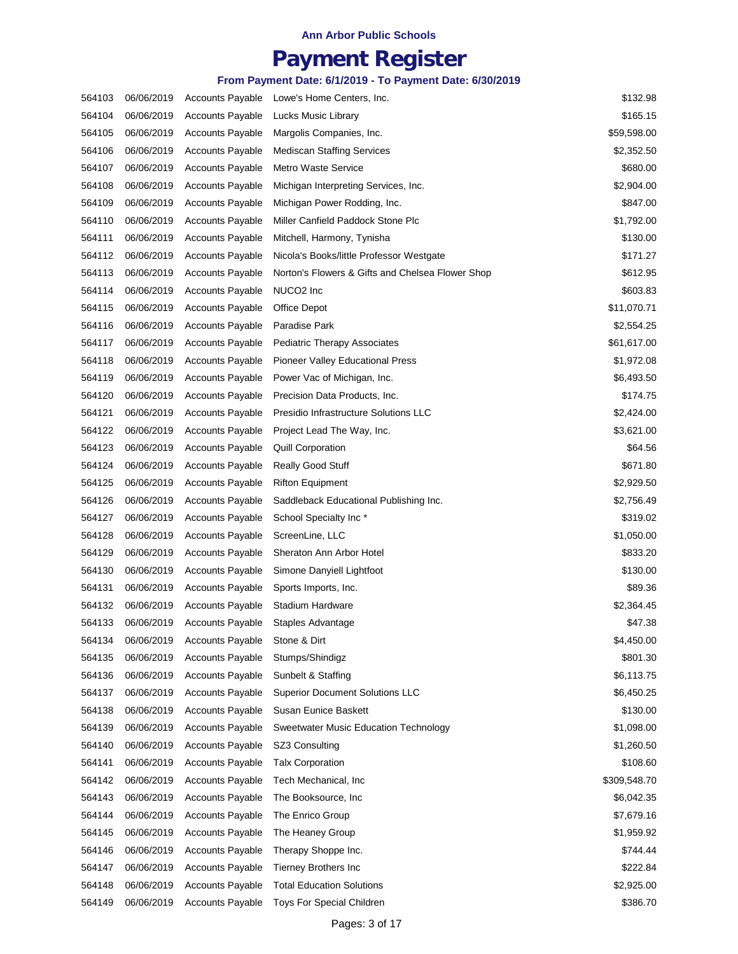## **Payment Register**

| 564103 | 06/06/2019 | <b>Accounts Payable</b> | Lowe's Home Centers, Inc.                        | \$132.98     |
|--------|------------|-------------------------|--------------------------------------------------|--------------|
| 564104 | 06/06/2019 | <b>Accounts Payable</b> | Lucks Music Library                              | \$165.15     |
| 564105 | 06/06/2019 | <b>Accounts Payable</b> | Margolis Companies, Inc.                         | \$59,598.00  |
| 564106 | 06/06/2019 | <b>Accounts Payable</b> | <b>Mediscan Staffing Services</b>                | \$2,352.50   |
| 564107 | 06/06/2019 | <b>Accounts Payable</b> | <b>Metro Waste Service</b>                       | \$680.00     |
| 564108 | 06/06/2019 | <b>Accounts Payable</b> | Michigan Interpreting Services, Inc.             | \$2,904.00   |
| 564109 | 06/06/2019 | <b>Accounts Payable</b> | Michigan Power Rodding, Inc.                     | \$847.00     |
| 564110 | 06/06/2019 | <b>Accounts Payable</b> | Miller Canfield Paddock Stone Plc                | \$1,792.00   |
| 564111 | 06/06/2019 | <b>Accounts Payable</b> | Mitchell, Harmony, Tynisha                       | \$130.00     |
| 564112 | 06/06/2019 | <b>Accounts Payable</b> | Nicola's Books/little Professor Westgate         | \$171.27     |
| 564113 | 06/06/2019 | <b>Accounts Payable</b> | Norton's Flowers & Gifts and Chelsea Flower Shop | \$612.95     |
| 564114 | 06/06/2019 | <b>Accounts Payable</b> | NUCO <sub>2</sub> Inc                            | \$603.83     |
| 564115 | 06/06/2019 | <b>Accounts Payable</b> | Office Depot                                     | \$11,070.71  |
| 564116 | 06/06/2019 | <b>Accounts Payable</b> | Paradise Park                                    | \$2,554.25   |
| 564117 | 06/06/2019 | <b>Accounts Payable</b> | <b>Pediatric Therapy Associates</b>              | \$61,617.00  |
| 564118 | 06/06/2019 | <b>Accounts Payable</b> | Pioneer Valley Educational Press                 | \$1,972.08   |
| 564119 | 06/06/2019 | <b>Accounts Payable</b> | Power Vac of Michigan, Inc.                      | \$6,493.50   |
| 564120 | 06/06/2019 | <b>Accounts Payable</b> | Precision Data Products, Inc.                    | \$174.75     |
| 564121 | 06/06/2019 | <b>Accounts Payable</b> | Presidio Infrastructure Solutions LLC            | \$2,424.00   |
| 564122 | 06/06/2019 | <b>Accounts Payable</b> | Project Lead The Way, Inc.                       | \$3,621.00   |
| 564123 | 06/06/2019 | <b>Accounts Payable</b> | <b>Quill Corporation</b>                         | \$64.56      |
| 564124 | 06/06/2019 | <b>Accounts Payable</b> | <b>Really Good Stuff</b>                         | \$671.80     |
| 564125 | 06/06/2019 | <b>Accounts Payable</b> | <b>Rifton Equipment</b>                          | \$2,929.50   |
| 564126 | 06/06/2019 | <b>Accounts Payable</b> | Saddleback Educational Publishing Inc.           | \$2,756.49   |
| 564127 | 06/06/2019 | <b>Accounts Payable</b> | School Specialty Inc*                            | \$319.02     |
| 564128 | 06/06/2019 | <b>Accounts Payable</b> | ScreenLine, LLC                                  | \$1,050.00   |
| 564129 | 06/06/2019 | <b>Accounts Payable</b> | Sheraton Ann Arbor Hotel                         | \$833.20     |
| 564130 | 06/06/2019 | <b>Accounts Payable</b> | Simone Danyiell Lightfoot                        | \$130.00     |
| 564131 | 06/06/2019 | <b>Accounts Payable</b> | Sports Imports, Inc.                             | \$89.36      |
| 564132 | 06/06/2019 | <b>Accounts Payable</b> | <b>Stadium Hardware</b>                          | \$2,364.45   |
| 564133 | 06/06/2019 | <b>Accounts Payable</b> | Staples Advantage                                | \$47.38      |
| 564134 | 06/06/2019 | <b>Accounts Payable</b> | Stone & Dirt                                     | \$4,450.00   |
| 564135 | 06/06/2019 | <b>Accounts Payable</b> | Stumps/Shindigz                                  | \$801.30     |
| 564136 | 06/06/2019 | <b>Accounts Payable</b> | Sunbelt & Staffing                               | \$6,113.75   |
| 564137 | 06/06/2019 | <b>Accounts Payable</b> | <b>Superior Document Solutions LLC</b>           | \$6,450.25   |
| 564138 | 06/06/2019 | <b>Accounts Payable</b> | Susan Eunice Baskett                             | \$130.00     |
| 564139 | 06/06/2019 | <b>Accounts Payable</b> | Sweetwater Music Education Technology            | \$1,098.00   |
| 564140 | 06/06/2019 | <b>Accounts Payable</b> | SZ3 Consulting                                   | \$1,260.50   |
| 564141 | 06/06/2019 | <b>Accounts Payable</b> | <b>Talx Corporation</b>                          | \$108.60     |
| 564142 | 06/06/2019 | <b>Accounts Payable</b> | Tech Mechanical, Inc.                            | \$309,548.70 |
| 564143 | 06/06/2019 | <b>Accounts Payable</b> | The Booksource, Inc.                             | \$6,042.35   |
| 564144 | 06/06/2019 | <b>Accounts Payable</b> | The Enrico Group                                 | \$7,679.16   |
| 564145 | 06/06/2019 | <b>Accounts Payable</b> | The Heaney Group                                 | \$1,959.92   |
| 564146 | 06/06/2019 | <b>Accounts Payable</b> | Therapy Shoppe Inc.                              | \$744.44     |
| 564147 | 06/06/2019 | <b>Accounts Payable</b> | Tierney Brothers Inc                             | \$222.84     |
| 564148 | 06/06/2019 | <b>Accounts Payable</b> | <b>Total Education Solutions</b>                 | \$2,925.00   |
| 564149 | 06/06/2019 | <b>Accounts Payable</b> | Toys For Special Children                        | \$386.70     |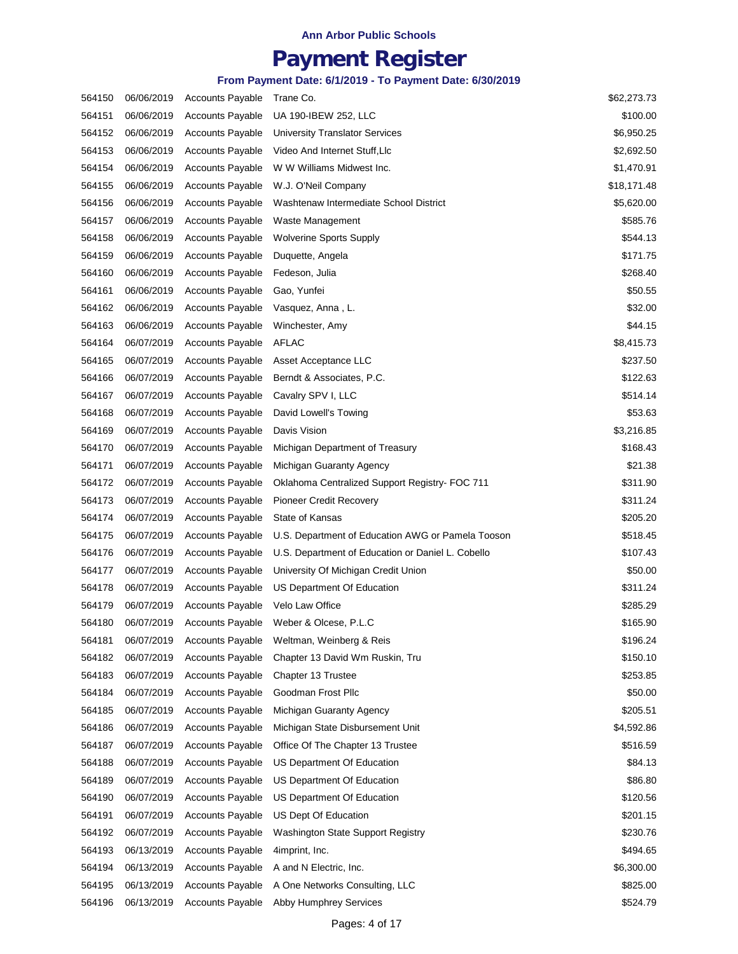## **Payment Register**

| 564150 | 06/06/2019 | <b>Accounts Payable</b> | Trane Co.                                         | \$62,273.73 |
|--------|------------|-------------------------|---------------------------------------------------|-------------|
| 564151 | 06/06/2019 | <b>Accounts Payable</b> | UA 190-IBEW 252, LLC                              | \$100.00    |
| 564152 | 06/06/2019 | <b>Accounts Payable</b> | University Translator Services                    | \$6,950.25  |
| 564153 | 06/06/2019 | <b>Accounts Payable</b> | Video And Internet Stuff, Llc                     | \$2,692.50  |
| 564154 | 06/06/2019 | <b>Accounts Payable</b> | W W Williams Midwest Inc.                         | \$1,470.91  |
| 564155 | 06/06/2019 | <b>Accounts Payable</b> | W.J. O'Neil Company                               | \$18,171.48 |
| 564156 | 06/06/2019 | <b>Accounts Payable</b> | Washtenaw Intermediate School District            | \$5,620.00  |
| 564157 | 06/06/2019 | <b>Accounts Payable</b> | Waste Management                                  | \$585.76    |
| 564158 | 06/06/2019 | <b>Accounts Payable</b> | <b>Wolverine Sports Supply</b>                    | \$544.13    |
| 564159 | 06/06/2019 | <b>Accounts Payable</b> | Duquette, Angela                                  | \$171.75    |
| 564160 | 06/06/2019 | <b>Accounts Payable</b> | Fedeson, Julia                                    | \$268.40    |
| 564161 | 06/06/2019 | <b>Accounts Payable</b> | Gao, Yunfei                                       | \$50.55     |
| 564162 | 06/06/2019 | <b>Accounts Payable</b> | Vasquez, Anna, L.                                 | \$32.00     |
| 564163 | 06/06/2019 | <b>Accounts Payable</b> | Winchester, Amy                                   | \$44.15     |
| 564164 | 06/07/2019 | <b>Accounts Payable</b> | <b>AFLAC</b>                                      | \$8,415.73  |
| 564165 | 06/07/2019 | <b>Accounts Payable</b> | Asset Acceptance LLC                              | \$237.50    |
| 564166 | 06/07/2019 | <b>Accounts Payable</b> | Berndt & Associates, P.C.                         | \$122.63    |
| 564167 | 06/07/2019 | <b>Accounts Payable</b> | Cavalry SPV I, LLC                                | \$514.14    |
| 564168 | 06/07/2019 | <b>Accounts Payable</b> | David Lowell's Towing                             | \$53.63     |
| 564169 | 06/07/2019 | <b>Accounts Payable</b> | Davis Vision                                      | \$3,216.85  |
| 564170 | 06/07/2019 | <b>Accounts Payable</b> | Michigan Department of Treasury                   | \$168.43    |
| 564171 | 06/07/2019 | <b>Accounts Payable</b> | Michigan Guaranty Agency                          | \$21.38     |
| 564172 | 06/07/2019 | Accounts Payable        | Oklahoma Centralized Support Registry- FOC 711    | \$311.90    |
| 564173 | 06/07/2019 | <b>Accounts Payable</b> | <b>Pioneer Credit Recovery</b>                    | \$311.24    |
| 564174 | 06/07/2019 | <b>Accounts Payable</b> | State of Kansas                                   | \$205.20    |
| 564175 | 06/07/2019 | <b>Accounts Payable</b> | U.S. Department of Education AWG or Pamela Tooson | \$518.45    |
| 564176 | 06/07/2019 | <b>Accounts Payable</b> | U.S. Department of Education or Daniel L. Cobello | \$107.43    |
| 564177 | 06/07/2019 | <b>Accounts Payable</b> | University Of Michigan Credit Union               | \$50.00     |
| 564178 | 06/07/2019 | <b>Accounts Payable</b> | US Department Of Education                        | \$311.24    |
| 564179 | 06/07/2019 | <b>Accounts Payable</b> | Velo Law Office                                   | \$285.29    |
| 564180 | 06/07/2019 | <b>Accounts Payable</b> | Weber & Olcese, P.L.C                             | \$165.90    |
| 564181 | 06/07/2019 | <b>Accounts Payable</b> | Weltman, Weinberg & Reis                          | \$196.24    |
| 564182 | 06/07/2019 | <b>Accounts Payable</b> | Chapter 13 David Wm Ruskin, Tru                   | \$150.10    |
| 564183 | 06/07/2019 | <b>Accounts Payable</b> | Chapter 13 Trustee                                | \$253.85    |
| 564184 | 06/07/2019 | <b>Accounts Payable</b> | Goodman Frost Pllc                                | \$50.00     |
| 564185 | 06/07/2019 | <b>Accounts Payable</b> | Michigan Guaranty Agency                          | \$205.51    |
| 564186 | 06/07/2019 | <b>Accounts Payable</b> | Michigan State Disbursement Unit                  | \$4,592.86  |
| 564187 | 06/07/2019 | <b>Accounts Payable</b> | Office Of The Chapter 13 Trustee                  | \$516.59    |
| 564188 | 06/07/2019 | <b>Accounts Payable</b> | US Department Of Education                        | \$84.13     |
| 564189 | 06/07/2019 | <b>Accounts Payable</b> | US Department Of Education                        | \$86.80     |
| 564190 | 06/07/2019 | <b>Accounts Payable</b> | US Department Of Education                        | \$120.56    |
| 564191 | 06/07/2019 | <b>Accounts Payable</b> | US Dept Of Education                              | \$201.15    |
| 564192 | 06/07/2019 | <b>Accounts Payable</b> | Washington State Support Registry                 | \$230.76    |
| 564193 | 06/13/2019 | <b>Accounts Payable</b> | 4imprint, Inc.                                    | \$494.65    |
| 564194 | 06/13/2019 | <b>Accounts Payable</b> | A and N Electric, Inc.                            | \$6,300.00  |
| 564195 | 06/13/2019 | <b>Accounts Payable</b> | A One Networks Consulting, LLC                    | \$825.00    |
| 564196 | 06/13/2019 | Accounts Payable        | Abby Humphrey Services                            | \$524.79    |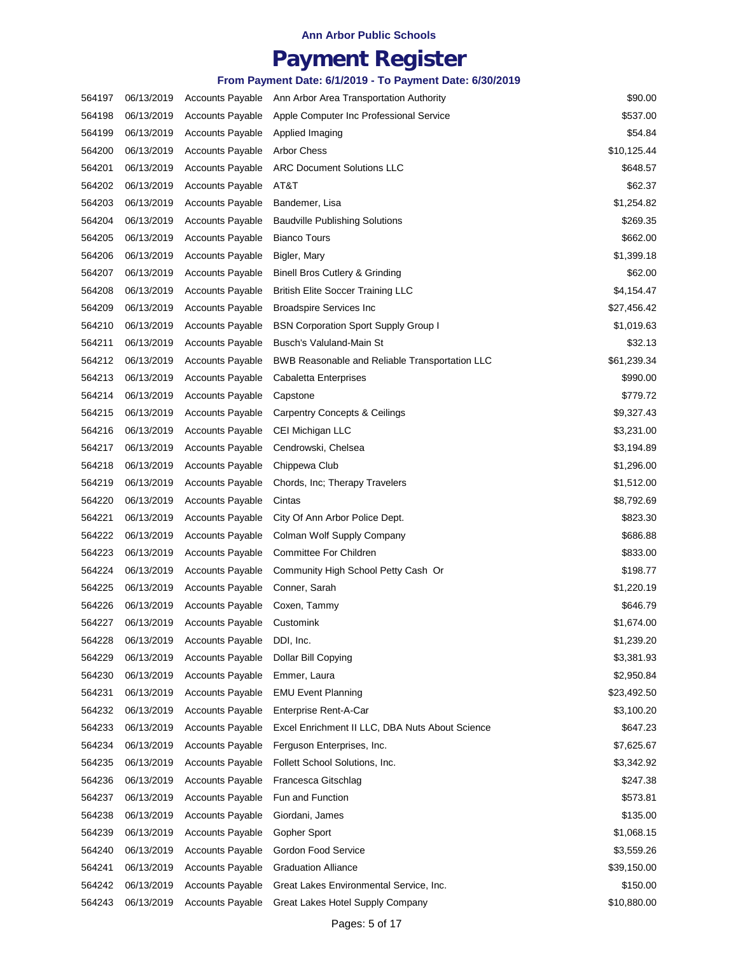## **Payment Register**

| 564197 | 06/13/2019 | <b>Accounts Payable</b> | Ann Arbor Area Transportation Authority         | \$90.00     |
|--------|------------|-------------------------|-------------------------------------------------|-------------|
| 564198 | 06/13/2019 | <b>Accounts Payable</b> | Apple Computer Inc Professional Service         | \$537.00    |
| 564199 | 06/13/2019 | <b>Accounts Payable</b> | Applied Imaging                                 | \$54.84     |
| 564200 | 06/13/2019 | <b>Accounts Payable</b> | <b>Arbor Chess</b>                              | \$10,125.44 |
| 564201 | 06/13/2019 | <b>Accounts Payable</b> | <b>ARC Document Solutions LLC</b>               | \$648.57    |
| 564202 | 06/13/2019 | <b>Accounts Payable</b> | AT&T                                            | \$62.37     |
| 564203 | 06/13/2019 | <b>Accounts Payable</b> | Bandemer, Lisa                                  | \$1,254.82  |
| 564204 | 06/13/2019 | <b>Accounts Payable</b> | <b>Baudville Publishing Solutions</b>           | \$269.35    |
| 564205 | 06/13/2019 | <b>Accounts Payable</b> | <b>Bianco Tours</b>                             | \$662.00    |
| 564206 | 06/13/2019 | <b>Accounts Payable</b> | Bigler, Mary                                    | \$1,399.18  |
| 564207 | 06/13/2019 | <b>Accounts Payable</b> | Binell Bros Cutlery & Grinding                  | \$62.00     |
| 564208 | 06/13/2019 | <b>Accounts Payable</b> | <b>British Elite Soccer Training LLC</b>        | \$4,154.47  |
| 564209 | 06/13/2019 | <b>Accounts Payable</b> | <b>Broadspire Services Inc</b>                  | \$27,456.42 |
| 564210 | 06/13/2019 | <b>Accounts Payable</b> | <b>BSN Corporation Sport Supply Group I</b>     | \$1,019.63  |
| 564211 | 06/13/2019 | <b>Accounts Payable</b> | Busch's Valuland-Main St                        | \$32.13     |
| 564212 | 06/13/2019 | <b>Accounts Payable</b> | BWB Reasonable and Reliable Transportation LLC  | \$61,239.34 |
| 564213 | 06/13/2019 | <b>Accounts Payable</b> | Cabaletta Enterprises                           | \$990.00    |
| 564214 | 06/13/2019 | <b>Accounts Payable</b> | Capstone                                        | \$779.72    |
| 564215 | 06/13/2019 | <b>Accounts Payable</b> | <b>Carpentry Concepts &amp; Ceilings</b>        | \$9,327.43  |
| 564216 | 06/13/2019 | <b>Accounts Payable</b> | CEI Michigan LLC                                | \$3,231.00  |
| 564217 | 06/13/2019 | <b>Accounts Payable</b> | Cendrowski, Chelsea                             | \$3,194.89  |
| 564218 | 06/13/2019 | <b>Accounts Payable</b> | Chippewa Club                                   | \$1,296.00  |
| 564219 | 06/13/2019 | <b>Accounts Payable</b> | Chords, Inc; Therapy Travelers                  | \$1,512.00  |
| 564220 | 06/13/2019 | <b>Accounts Payable</b> | Cintas                                          | \$8,792.69  |
| 564221 | 06/13/2019 | <b>Accounts Payable</b> | City Of Ann Arbor Police Dept.                  | \$823.30    |
| 564222 | 06/13/2019 | <b>Accounts Payable</b> | Colman Wolf Supply Company                      | \$686.88    |
| 564223 | 06/13/2019 | <b>Accounts Payable</b> | Committee For Children                          | \$833.00    |
| 564224 | 06/13/2019 | <b>Accounts Payable</b> | Community High School Petty Cash Or             | \$198.77    |
| 564225 | 06/13/2019 | <b>Accounts Payable</b> | Conner, Sarah                                   | \$1,220.19  |
| 564226 | 06/13/2019 | <b>Accounts Payable</b> | Coxen, Tammy                                    | \$646.79    |
| 564227 | 06/13/2019 | <b>Accounts Payable</b> | Customink                                       | \$1,674.00  |
| 564228 | 06/13/2019 | <b>Accounts Payable</b> | DDI, Inc.                                       | \$1,239.20  |
| 564229 | 06/13/2019 | <b>Accounts Payable</b> | Dollar Bill Copying                             | \$3,381.93  |
| 564230 | 06/13/2019 | <b>Accounts Payable</b> | Emmer, Laura                                    | \$2,950.84  |
| 564231 | 06/13/2019 | <b>Accounts Payable</b> | <b>EMU Event Planning</b>                       | \$23,492.50 |
| 564232 | 06/13/2019 | <b>Accounts Payable</b> | Enterprise Rent-A-Car                           | \$3,100.20  |
| 564233 | 06/13/2019 | <b>Accounts Payable</b> | Excel Enrichment II LLC, DBA Nuts About Science | \$647.23    |
| 564234 | 06/13/2019 | <b>Accounts Payable</b> | Ferguson Enterprises, Inc.                      | \$7,625.67  |
| 564235 | 06/13/2019 | <b>Accounts Payable</b> | Follett School Solutions, Inc.                  | \$3,342.92  |
| 564236 | 06/13/2019 | <b>Accounts Payable</b> | Francesca Gitschlag                             | \$247.38    |
| 564237 | 06/13/2019 | <b>Accounts Payable</b> | Fun and Function                                | \$573.81    |
| 564238 | 06/13/2019 | <b>Accounts Payable</b> | Giordani, James                                 | \$135.00    |
| 564239 | 06/13/2019 | <b>Accounts Payable</b> | Gopher Sport                                    | \$1,068.15  |
| 564240 | 06/13/2019 | <b>Accounts Payable</b> | Gordon Food Service                             | \$3,559.26  |
| 564241 | 06/13/2019 | <b>Accounts Payable</b> | <b>Graduation Alliance</b>                      | \$39,150.00 |
| 564242 | 06/13/2019 | <b>Accounts Payable</b> | Great Lakes Environmental Service, Inc.         | \$150.00    |
| 564243 | 06/13/2019 | <b>Accounts Payable</b> | Great Lakes Hotel Supply Company                | \$10,880.00 |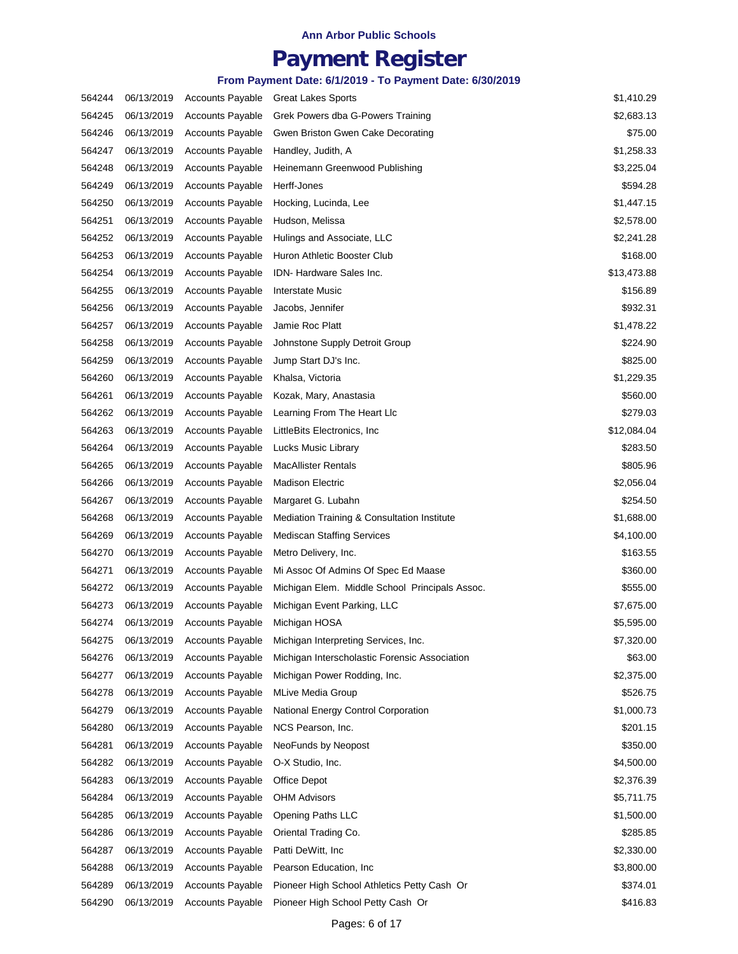## **Payment Register**

| 564244 | 06/13/2019 | <b>Accounts Payable</b> | <b>Great Lakes Sports</b>                      | \$1,410.29  |
|--------|------------|-------------------------|------------------------------------------------|-------------|
| 564245 | 06/13/2019 | <b>Accounts Payable</b> | Grek Powers dba G-Powers Training              | \$2,683.13  |
| 564246 | 06/13/2019 | <b>Accounts Payable</b> | Gwen Briston Gwen Cake Decorating              | \$75.00     |
| 564247 | 06/13/2019 | <b>Accounts Payable</b> | Handley, Judith, A                             | \$1,258.33  |
| 564248 | 06/13/2019 | <b>Accounts Payable</b> | Heinemann Greenwood Publishing                 | \$3,225.04  |
| 564249 | 06/13/2019 | <b>Accounts Payable</b> | Herff-Jones                                    | \$594.28    |
| 564250 | 06/13/2019 | <b>Accounts Payable</b> | Hocking, Lucinda, Lee                          | \$1,447.15  |
| 564251 | 06/13/2019 | <b>Accounts Payable</b> | Hudson, Melissa                                | \$2,578.00  |
| 564252 | 06/13/2019 | <b>Accounts Payable</b> | Hulings and Associate, LLC                     | \$2,241.28  |
| 564253 | 06/13/2019 | <b>Accounts Payable</b> | Huron Athletic Booster Club                    | \$168.00    |
| 564254 | 06/13/2019 | <b>Accounts Payable</b> | IDN- Hardware Sales Inc.                       | \$13,473.88 |
| 564255 | 06/13/2019 | <b>Accounts Payable</b> | Interstate Music                               | \$156.89    |
| 564256 | 06/13/2019 | <b>Accounts Payable</b> | Jacobs, Jennifer                               | \$932.31    |
| 564257 | 06/13/2019 | <b>Accounts Payable</b> | Jamie Roc Platt                                | \$1,478.22  |
| 564258 | 06/13/2019 | <b>Accounts Payable</b> | Johnstone Supply Detroit Group                 | \$224.90    |
| 564259 | 06/13/2019 | <b>Accounts Payable</b> | Jump Start DJ's Inc.                           | \$825.00    |
| 564260 | 06/13/2019 | <b>Accounts Payable</b> | Khalsa, Victoria                               | \$1,229.35  |
| 564261 | 06/13/2019 | <b>Accounts Payable</b> | Kozak, Mary, Anastasia                         | \$560.00    |
| 564262 | 06/13/2019 | <b>Accounts Payable</b> | Learning From The Heart Llc                    | \$279.03    |
| 564263 | 06/13/2019 | <b>Accounts Payable</b> | LittleBits Electronics, Inc.                   | \$12,084.04 |
| 564264 | 06/13/2019 | <b>Accounts Payable</b> | Lucks Music Library                            | \$283.50    |
| 564265 | 06/13/2019 | <b>Accounts Payable</b> | <b>MacAllister Rentals</b>                     | \$805.96    |
| 564266 | 06/13/2019 | <b>Accounts Payable</b> | <b>Madison Electric</b>                        | \$2,056.04  |
| 564267 | 06/13/2019 | <b>Accounts Payable</b> | Margaret G. Lubahn                             | \$254.50    |
| 564268 | 06/13/2019 | <b>Accounts Payable</b> | Mediation Training & Consultation Institute    | \$1,688.00  |
| 564269 | 06/13/2019 | <b>Accounts Payable</b> | <b>Mediscan Staffing Services</b>              | \$4,100.00  |
| 564270 | 06/13/2019 | <b>Accounts Payable</b> | Metro Delivery, Inc.                           | \$163.55    |
| 564271 | 06/13/2019 | <b>Accounts Payable</b> | Mi Assoc Of Admins Of Spec Ed Maase            | \$360.00    |
| 564272 | 06/13/2019 | <b>Accounts Payable</b> | Michigan Elem. Middle School Principals Assoc. | \$555.00    |
| 564273 | 06/13/2019 | <b>Accounts Payable</b> | Michigan Event Parking, LLC                    | \$7,675.00  |
| 564274 | 06/13/2019 | <b>Accounts Payable</b> | Michigan HOSA                                  | \$5,595.00  |
| 564275 | 06/13/2019 | <b>Accounts Payable</b> | Michigan Interpreting Services, Inc.           | \$7,320.00  |
| 564276 | 06/13/2019 | <b>Accounts Payable</b> | Michigan Interscholastic Forensic Association  | \$63.00     |
| 564277 | 06/13/2019 | <b>Accounts Payable</b> | Michigan Power Rodding, Inc.                   | \$2,375.00  |
| 564278 | 06/13/2019 | <b>Accounts Payable</b> | <b>MLive Media Group</b>                       | \$526.75    |
| 564279 | 06/13/2019 | <b>Accounts Payable</b> | National Energy Control Corporation            | \$1,000.73  |
| 564280 | 06/13/2019 | <b>Accounts Payable</b> | NCS Pearson, Inc.                              | \$201.15    |
| 564281 | 06/13/2019 | <b>Accounts Payable</b> | NeoFunds by Neopost                            | \$350.00    |
| 564282 | 06/13/2019 | <b>Accounts Payable</b> | O-X Studio, Inc.                               | \$4,500.00  |
| 564283 | 06/13/2019 | <b>Accounts Payable</b> | Office Depot                                   | \$2,376.39  |
| 564284 | 06/13/2019 | <b>Accounts Payable</b> | <b>OHM Advisors</b>                            | \$5,711.75  |
| 564285 | 06/13/2019 | <b>Accounts Payable</b> | <b>Opening Paths LLC</b>                       | \$1,500.00  |
| 564286 | 06/13/2019 | <b>Accounts Payable</b> | Oriental Trading Co.                           | \$285.85    |
| 564287 | 06/13/2019 | <b>Accounts Payable</b> | Patti DeWitt, Inc.                             | \$2,330.00  |
| 564288 | 06/13/2019 | <b>Accounts Payable</b> | Pearson Education, Inc.                        | \$3,800.00  |
| 564289 | 06/13/2019 | <b>Accounts Payable</b> | Pioneer High School Athletics Petty Cash Or    | \$374.01    |
| 564290 | 06/13/2019 | Accounts Payable        | Pioneer High School Petty Cash Or              | \$416.83    |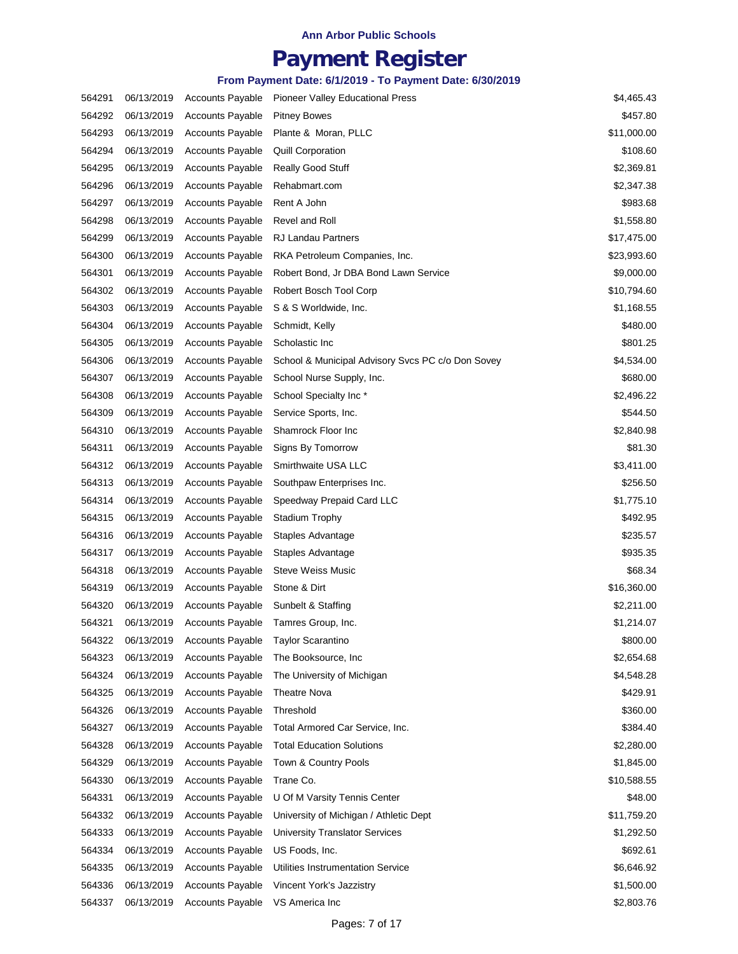## **Payment Register**

| 564291 | 06/13/2019 | <b>Accounts Payable</b> | Pioneer Valley Educational Press                  | \$4,465.43  |
|--------|------------|-------------------------|---------------------------------------------------|-------------|
| 564292 | 06/13/2019 | <b>Accounts Payable</b> | <b>Pitney Bowes</b>                               | \$457.80    |
| 564293 | 06/13/2019 | <b>Accounts Payable</b> | Plante & Moran, PLLC                              | \$11,000.00 |
| 564294 | 06/13/2019 | <b>Accounts Payable</b> | <b>Quill Corporation</b>                          | \$108.60    |
| 564295 | 06/13/2019 | <b>Accounts Payable</b> | <b>Really Good Stuff</b>                          | \$2,369.81  |
| 564296 | 06/13/2019 | <b>Accounts Payable</b> | Rehabmart.com                                     | \$2,347.38  |
| 564297 | 06/13/2019 | <b>Accounts Payable</b> | Rent A John                                       | \$983.68    |
| 564298 | 06/13/2019 | <b>Accounts Payable</b> | Revel and Roll                                    | \$1,558.80  |
| 564299 | 06/13/2019 | <b>Accounts Payable</b> | <b>RJ Landau Partners</b>                         | \$17,475.00 |
| 564300 | 06/13/2019 | <b>Accounts Payable</b> | RKA Petroleum Companies, Inc.                     | \$23,993.60 |
| 564301 | 06/13/2019 | <b>Accounts Payable</b> | Robert Bond, Jr DBA Bond Lawn Service             | \$9,000.00  |
| 564302 | 06/13/2019 | <b>Accounts Payable</b> | Robert Bosch Tool Corp                            | \$10,794.60 |
| 564303 | 06/13/2019 | <b>Accounts Payable</b> | S & S Worldwide, Inc.                             | \$1,168.55  |
| 564304 | 06/13/2019 | <b>Accounts Payable</b> | Schmidt, Kelly                                    | \$480.00    |
| 564305 | 06/13/2019 | <b>Accounts Payable</b> | Scholastic Inc.                                   | \$801.25    |
| 564306 | 06/13/2019 | <b>Accounts Payable</b> | School & Municipal Advisory Svcs PC c/o Don Sovey | \$4,534.00  |
| 564307 | 06/13/2019 | <b>Accounts Payable</b> | School Nurse Supply, Inc.                         | \$680.00    |
| 564308 | 06/13/2019 | <b>Accounts Payable</b> | School Specialty Inc*                             | \$2,496.22  |
| 564309 | 06/13/2019 | <b>Accounts Payable</b> | Service Sports, Inc.                              | \$544.50    |
| 564310 | 06/13/2019 | <b>Accounts Payable</b> | Shamrock Floor Inc                                | \$2,840.98  |
| 564311 | 06/13/2019 | <b>Accounts Payable</b> | Signs By Tomorrow                                 | \$81.30     |
| 564312 | 06/13/2019 | <b>Accounts Payable</b> | Smirthwaite USA LLC                               | \$3,411.00  |
| 564313 | 06/13/2019 | <b>Accounts Payable</b> | Southpaw Enterprises Inc.                         | \$256.50    |
| 564314 | 06/13/2019 | <b>Accounts Payable</b> | Speedway Prepaid Card LLC                         | \$1,775.10  |
| 564315 | 06/13/2019 | <b>Accounts Payable</b> | Stadium Trophy                                    | \$492.95    |
| 564316 | 06/13/2019 | <b>Accounts Payable</b> | Staples Advantage                                 | \$235.57    |
| 564317 | 06/13/2019 | <b>Accounts Payable</b> | Staples Advantage                                 | \$935.35    |
| 564318 | 06/13/2019 | <b>Accounts Payable</b> | <b>Steve Weiss Music</b>                          | \$68.34     |
| 564319 | 06/13/2019 | <b>Accounts Payable</b> | Stone & Dirt                                      | \$16,360.00 |
| 564320 | 06/13/2019 | <b>Accounts Payable</b> | Sunbelt & Staffing                                | \$2,211.00  |
| 564321 | 06/13/2019 | <b>Accounts Payable</b> | Tamres Group, Inc.                                | \$1,214.07  |
| 564322 | 06/13/2019 | <b>Accounts Payable</b> | <b>Taylor Scarantino</b>                          | \$800.00    |
| 564323 | 06/13/2019 | <b>Accounts Payable</b> | The Booksource, Inc.                              | \$2,654.68  |
| 564324 | 06/13/2019 | <b>Accounts Payable</b> | The University of Michigan                        | \$4,548.28  |
| 564325 | 06/13/2019 | <b>Accounts Payable</b> | <b>Theatre Nova</b>                               | \$429.91    |
| 564326 | 06/13/2019 | <b>Accounts Payable</b> | Threshold                                         | \$360.00    |
| 564327 | 06/13/2019 | <b>Accounts Payable</b> | Total Armored Car Service, Inc.                   | \$384.40    |
| 564328 | 06/13/2019 | <b>Accounts Payable</b> | <b>Total Education Solutions</b>                  | \$2,280.00  |
| 564329 | 06/13/2019 | <b>Accounts Payable</b> | Town & Country Pools                              | \$1,845.00  |
| 564330 | 06/13/2019 | <b>Accounts Payable</b> | Trane Co.                                         | \$10,588.55 |
| 564331 | 06/13/2019 | <b>Accounts Payable</b> | U Of M Varsity Tennis Center                      | \$48.00     |
| 564332 | 06/13/2019 | <b>Accounts Payable</b> | University of Michigan / Athletic Dept            | \$11,759.20 |
| 564333 | 06/13/2019 | <b>Accounts Payable</b> | University Translator Services                    | \$1,292.50  |
| 564334 | 06/13/2019 | <b>Accounts Payable</b> | US Foods, Inc.                                    | \$692.61    |
| 564335 | 06/13/2019 | <b>Accounts Payable</b> | Utilities Instrumentation Service                 | \$6,646.92  |
| 564336 | 06/13/2019 | <b>Accounts Payable</b> | Vincent York's Jazzistry                          | \$1,500.00  |
| 564337 | 06/13/2019 | <b>Accounts Payable</b> | VS America Inc                                    | \$2,803.76  |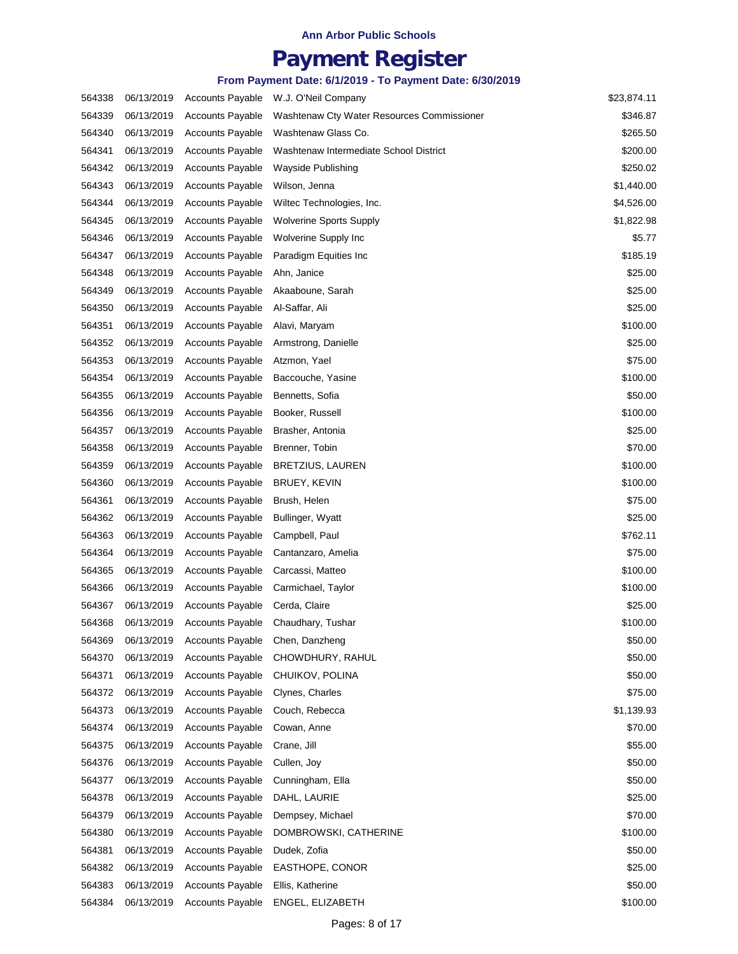## **Payment Register**

| 564338 | 06/13/2019 | <b>Accounts Payable</b> | W.J. O'Neil Company                        | \$23,874.11 |
|--------|------------|-------------------------|--------------------------------------------|-------------|
| 564339 | 06/13/2019 | <b>Accounts Payable</b> | Washtenaw Cty Water Resources Commissioner | \$346.87    |
| 564340 | 06/13/2019 | <b>Accounts Payable</b> | Washtenaw Glass Co.                        | \$265.50    |
| 564341 | 06/13/2019 | <b>Accounts Payable</b> | Washtenaw Intermediate School District     | \$200.00    |
| 564342 | 06/13/2019 | <b>Accounts Payable</b> | Wayside Publishing                         | \$250.02    |
| 564343 | 06/13/2019 | <b>Accounts Payable</b> | Wilson, Jenna                              | \$1,440.00  |
| 564344 | 06/13/2019 | <b>Accounts Payable</b> | Wiltec Technologies, Inc.                  | \$4,526.00  |
| 564345 | 06/13/2019 | <b>Accounts Payable</b> | <b>Wolverine Sports Supply</b>             | \$1,822.98  |
| 564346 | 06/13/2019 | <b>Accounts Payable</b> | Wolverine Supply Inc                       | \$5.77      |
| 564347 | 06/13/2019 | <b>Accounts Payable</b> | Paradigm Equities Inc                      | \$185.19    |
| 564348 | 06/13/2019 | <b>Accounts Payable</b> | Ahn, Janice                                | \$25.00     |
| 564349 | 06/13/2019 | <b>Accounts Payable</b> | Akaaboune, Sarah                           | \$25.00     |
| 564350 | 06/13/2019 | <b>Accounts Payable</b> | Al-Saffar, Ali                             | \$25.00     |
| 564351 | 06/13/2019 | <b>Accounts Payable</b> | Alavi, Maryam                              | \$100.00    |
| 564352 | 06/13/2019 | <b>Accounts Payable</b> | Armstrong, Danielle                        | \$25.00     |
| 564353 | 06/13/2019 | <b>Accounts Payable</b> | Atzmon, Yael                               | \$75.00     |
| 564354 | 06/13/2019 | <b>Accounts Payable</b> | Baccouche, Yasine                          | \$100.00    |
| 564355 | 06/13/2019 | <b>Accounts Payable</b> | Bennetts, Sofia                            | \$50.00     |
| 564356 | 06/13/2019 | <b>Accounts Payable</b> | Booker, Russell                            | \$100.00    |
| 564357 | 06/13/2019 | <b>Accounts Payable</b> | Brasher, Antonia                           | \$25.00     |
| 564358 | 06/13/2019 | <b>Accounts Payable</b> | Brenner, Tobin                             | \$70.00     |
| 564359 | 06/13/2019 | <b>Accounts Payable</b> | <b>BRETZIUS, LAUREN</b>                    | \$100.00    |
| 564360 | 06/13/2019 | <b>Accounts Payable</b> | BRUEY, KEVIN                               | \$100.00    |
| 564361 | 06/13/2019 | <b>Accounts Payable</b> | Brush, Helen                               | \$75.00     |
| 564362 | 06/13/2019 | <b>Accounts Payable</b> | Bullinger, Wyatt                           | \$25.00     |
| 564363 | 06/13/2019 | <b>Accounts Payable</b> | Campbell, Paul                             | \$762.11    |
| 564364 | 06/13/2019 | <b>Accounts Payable</b> | Cantanzaro, Amelia                         | \$75.00     |
| 564365 | 06/13/2019 | <b>Accounts Payable</b> | Carcassi, Matteo                           | \$100.00    |
| 564366 | 06/13/2019 | <b>Accounts Payable</b> | Carmichael, Taylor                         | \$100.00    |
| 564367 | 06/13/2019 | <b>Accounts Payable</b> | Cerda, Claire                              | \$25.00     |
| 564368 | 06/13/2019 | <b>Accounts Payable</b> | Chaudhary, Tushar                          | \$100.00    |
| 564369 | 06/13/2019 | <b>Accounts Payable</b> | Chen, Danzheng                             | \$50.00     |
| 564370 | 06/13/2019 | <b>Accounts Payable</b> | CHOWDHURY, RAHUL                           | \$50.00     |
| 564371 | 06/13/2019 | <b>Accounts Payable</b> | CHUIKOV, POLINA                            | \$50.00     |
| 564372 | 06/13/2019 | <b>Accounts Payable</b> | Clynes, Charles                            | \$75.00     |
| 564373 | 06/13/2019 | <b>Accounts Payable</b> | Couch, Rebecca                             | \$1,139.93  |
| 564374 | 06/13/2019 | <b>Accounts Payable</b> | Cowan, Anne                                | \$70.00     |
| 564375 | 06/13/2019 | <b>Accounts Payable</b> | Crane, Jill                                | \$55.00     |
| 564376 | 06/13/2019 | <b>Accounts Payable</b> | Cullen, Joy                                | \$50.00     |
| 564377 | 06/13/2019 | <b>Accounts Payable</b> | Cunningham, Ella                           | \$50.00     |
| 564378 | 06/13/2019 | <b>Accounts Payable</b> | DAHL, LAURIE                               | \$25.00     |
| 564379 | 06/13/2019 | <b>Accounts Payable</b> | Dempsey, Michael                           | \$70.00     |
| 564380 | 06/13/2019 | <b>Accounts Payable</b> | DOMBROWSKI, CATHERINE                      | \$100.00    |
| 564381 | 06/13/2019 | <b>Accounts Payable</b> | Dudek, Zofia                               | \$50.00     |
| 564382 | 06/13/2019 | <b>Accounts Payable</b> | EASTHOPE, CONOR                            | \$25.00     |
| 564383 | 06/13/2019 | <b>Accounts Payable</b> | Ellis, Katherine                           | \$50.00     |
| 564384 | 06/13/2019 | <b>Accounts Payable</b> | ENGEL, ELIZABETH                           | \$100.00    |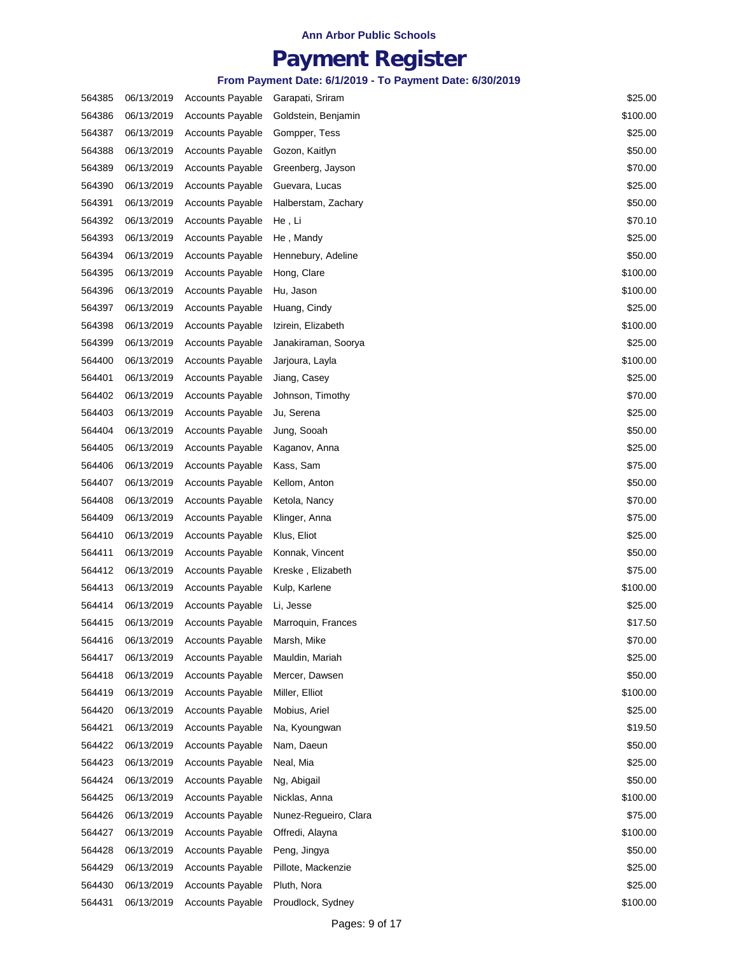## **Payment Register**

| 564385 | 06/13/2019 | <b>Accounts Payable</b> | Garapati, Sriram      | \$25.00  |
|--------|------------|-------------------------|-----------------------|----------|
| 564386 | 06/13/2019 | <b>Accounts Payable</b> | Goldstein, Benjamin   | \$100.00 |
| 564387 | 06/13/2019 | <b>Accounts Payable</b> | Gompper, Tess         | \$25.00  |
| 564388 | 06/13/2019 | <b>Accounts Payable</b> | Gozon, Kaitlyn        | \$50.00  |
| 564389 | 06/13/2019 | <b>Accounts Payable</b> | Greenberg, Jayson     | \$70.00  |
| 564390 | 06/13/2019 | <b>Accounts Payable</b> | Guevara, Lucas        | \$25.00  |
| 564391 | 06/13/2019 | <b>Accounts Payable</b> | Halberstam, Zachary   | \$50.00  |
| 564392 | 06/13/2019 | <b>Accounts Payable</b> | He , Li               | \$70.10  |
| 564393 | 06/13/2019 | <b>Accounts Payable</b> | He, Mandy             | \$25.00  |
| 564394 | 06/13/2019 | Accounts Payable        | Hennebury, Adeline    | \$50.00  |
| 564395 | 06/13/2019 | <b>Accounts Payable</b> | Hong, Clare           | \$100.00 |
| 564396 | 06/13/2019 | <b>Accounts Payable</b> | Hu, Jason             | \$100.00 |
| 564397 | 06/13/2019 | <b>Accounts Payable</b> | Huang, Cindy          | \$25.00  |
| 564398 | 06/13/2019 | <b>Accounts Payable</b> | Izirein, Elizabeth    | \$100.00 |
| 564399 | 06/13/2019 | <b>Accounts Payable</b> | Janakiraman, Soorya   | \$25.00  |
| 564400 | 06/13/2019 | <b>Accounts Payable</b> | Jarjoura, Layla       | \$100.00 |
| 564401 | 06/13/2019 | <b>Accounts Payable</b> | Jiang, Casey          | \$25.00  |
| 564402 | 06/13/2019 | <b>Accounts Payable</b> | Johnson, Timothy      | \$70.00  |
| 564403 | 06/13/2019 | <b>Accounts Payable</b> | Ju, Serena            | \$25.00  |
| 564404 | 06/13/2019 | <b>Accounts Payable</b> | Jung, Sooah           | \$50.00  |
| 564405 | 06/13/2019 | <b>Accounts Payable</b> | Kaganov, Anna         | \$25.00  |
| 564406 | 06/13/2019 | <b>Accounts Payable</b> | Kass, Sam             | \$75.00  |
| 564407 | 06/13/2019 | <b>Accounts Payable</b> | Kellom, Anton         | \$50.00  |
| 564408 | 06/13/2019 | <b>Accounts Payable</b> | Ketola, Nancy         | \$70.00  |
| 564409 | 06/13/2019 | <b>Accounts Payable</b> | Klinger, Anna         | \$75.00  |
| 564410 | 06/13/2019 | <b>Accounts Payable</b> | Klus, Eliot           | \$25.00  |
| 564411 | 06/13/2019 | <b>Accounts Payable</b> | Konnak, Vincent       | \$50.00  |
| 564412 | 06/13/2019 | <b>Accounts Payable</b> | Kreske, Elizabeth     | \$75.00  |
| 564413 | 06/13/2019 | <b>Accounts Payable</b> | Kulp, Karlene         | \$100.00 |
| 564414 | 06/13/2019 | <b>Accounts Payable</b> | Li, Jesse             | \$25.00  |
| 564415 | 06/13/2019 | <b>Accounts Payable</b> | Marroquin, Frances    | \$17.50  |
| 564416 | 06/13/2019 | <b>Accounts Payable</b> | Marsh, Mike           | \$70.00  |
| 564417 | 06/13/2019 | <b>Accounts Payable</b> | Mauldin, Mariah       | \$25.00  |
| 564418 | 06/13/2019 | <b>Accounts Payable</b> | Mercer, Dawsen        | \$50.00  |
| 564419 | 06/13/2019 | <b>Accounts Payable</b> | Miller, Elliot        | \$100.00 |
| 564420 | 06/13/2019 | <b>Accounts Payable</b> | Mobius, Ariel         | \$25.00  |
| 564421 | 06/13/2019 | <b>Accounts Payable</b> | Na, Kyoungwan         | \$19.50  |
| 564422 | 06/13/2019 | <b>Accounts Payable</b> | Nam, Daeun            | \$50.00  |
| 564423 | 06/13/2019 | <b>Accounts Payable</b> | Neal, Mia             | \$25.00  |
| 564424 | 06/13/2019 | <b>Accounts Payable</b> | Ng, Abigail           | \$50.00  |
| 564425 | 06/13/2019 | <b>Accounts Payable</b> | Nicklas, Anna         | \$100.00 |
| 564426 | 06/13/2019 | <b>Accounts Payable</b> | Nunez-Regueiro, Clara | \$75.00  |
| 564427 | 06/13/2019 | <b>Accounts Payable</b> | Offredi, Alayna       | \$100.00 |
| 564428 | 06/13/2019 | <b>Accounts Payable</b> | Peng, Jingya          | \$50.00  |
| 564429 | 06/13/2019 | <b>Accounts Payable</b> | Pillote, Mackenzie    | \$25.00  |
| 564430 | 06/13/2019 | <b>Accounts Payable</b> | Pluth, Nora           | \$25.00  |
| 564431 | 06/13/2019 | <b>Accounts Payable</b> | Proudlock, Sydney     | \$100.00 |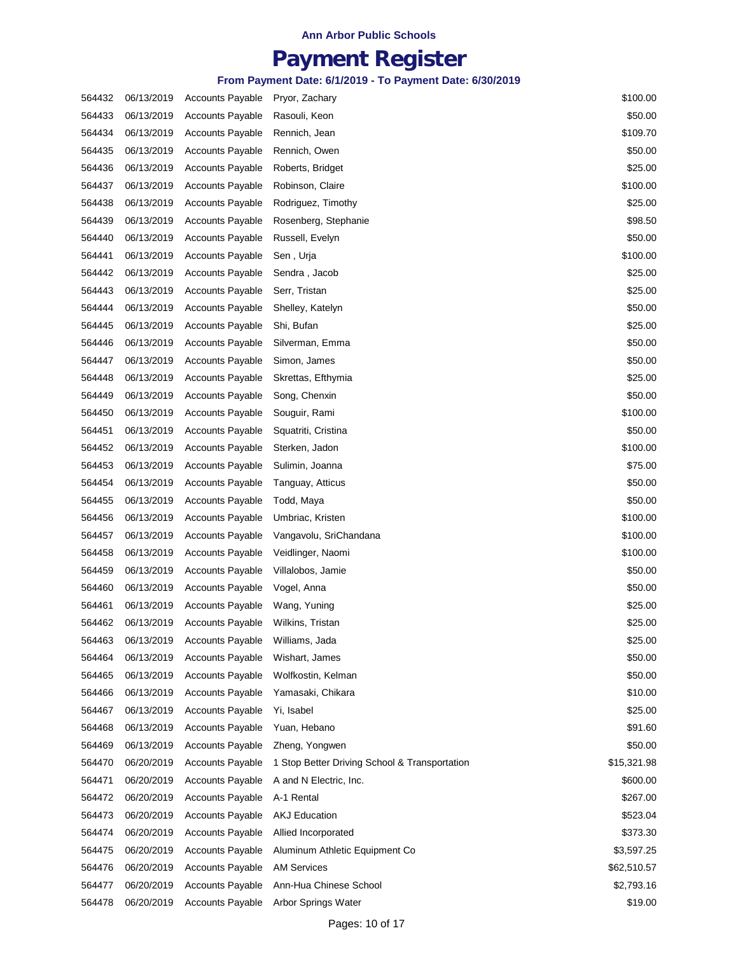## **Payment Register**

| 564432 | 06/13/2019 | <b>Accounts Payable</b> | Pryor, Zachary                                | \$100.00    |
|--------|------------|-------------------------|-----------------------------------------------|-------------|
| 564433 | 06/13/2019 | <b>Accounts Payable</b> | Rasouli, Keon                                 | \$50.00     |
| 564434 | 06/13/2019 | <b>Accounts Payable</b> | Rennich, Jean                                 | \$109.70    |
| 564435 | 06/13/2019 | <b>Accounts Payable</b> | Rennich, Owen                                 | \$50.00     |
| 564436 | 06/13/2019 | <b>Accounts Payable</b> | Roberts, Bridget                              | \$25.00     |
| 564437 | 06/13/2019 | <b>Accounts Payable</b> | Robinson, Claire                              | \$100.00    |
| 564438 | 06/13/2019 | <b>Accounts Payable</b> | Rodriguez, Timothy                            | \$25.00     |
| 564439 | 06/13/2019 | <b>Accounts Payable</b> | Rosenberg, Stephanie                          | \$98.50     |
| 564440 | 06/13/2019 | <b>Accounts Payable</b> | Russell, Evelyn                               | \$50.00     |
| 564441 | 06/13/2019 | <b>Accounts Payable</b> | Sen, Urja                                     | \$100.00    |
| 564442 | 06/13/2019 | <b>Accounts Payable</b> | Sendra, Jacob                                 | \$25.00     |
| 564443 | 06/13/2019 | <b>Accounts Payable</b> | Serr, Tristan                                 | \$25.00     |
| 564444 | 06/13/2019 | <b>Accounts Payable</b> | Shelley, Katelyn                              | \$50.00     |
| 564445 | 06/13/2019 | <b>Accounts Payable</b> | Shi, Bufan                                    | \$25.00     |
| 564446 | 06/13/2019 | <b>Accounts Payable</b> | Silverman, Emma                               | \$50.00     |
| 564447 | 06/13/2019 | <b>Accounts Payable</b> | Simon, James                                  | \$50.00     |
| 564448 | 06/13/2019 | <b>Accounts Payable</b> | Skrettas, Efthymia                            | \$25.00     |
| 564449 | 06/13/2019 | <b>Accounts Payable</b> | Song, Chenxin                                 | \$50.00     |
| 564450 | 06/13/2019 | <b>Accounts Payable</b> | Souguir, Rami                                 | \$100.00    |
| 564451 | 06/13/2019 | <b>Accounts Payable</b> | Squatriti, Cristina                           | \$50.00     |
| 564452 | 06/13/2019 | <b>Accounts Payable</b> | Sterken, Jadon                                | \$100.00    |
| 564453 | 06/13/2019 | <b>Accounts Payable</b> | Sulimin, Joanna                               | \$75.00     |
| 564454 | 06/13/2019 | <b>Accounts Payable</b> | Tanguay, Atticus                              | \$50.00     |
| 564455 | 06/13/2019 | <b>Accounts Payable</b> | Todd, Maya                                    | \$50.00     |
| 564456 | 06/13/2019 | <b>Accounts Payable</b> | Umbriac, Kristen                              | \$100.00    |
| 564457 | 06/13/2019 | <b>Accounts Payable</b> | Vangavolu, SriChandana                        | \$100.00    |
| 564458 | 06/13/2019 | <b>Accounts Payable</b> | Veidlinger, Naomi                             | \$100.00    |
| 564459 | 06/13/2019 | <b>Accounts Payable</b> | Villalobos, Jamie                             | \$50.00     |
| 564460 | 06/13/2019 | <b>Accounts Payable</b> | Vogel, Anna                                   | \$50.00     |
| 564461 | 06/13/2019 | <b>Accounts Payable</b> | Wang, Yuning                                  | \$25.00     |
| 564462 | 06/13/2019 | <b>Accounts Payable</b> | Wilkins, Tristan                              | \$25.00     |
| 564463 | 06/13/2019 | <b>Accounts Payable</b> | Williams, Jada                                | \$25.00     |
| 564464 | 06/13/2019 | <b>Accounts Payable</b> | Wishart, James                                | \$50.00     |
| 564465 | 06/13/2019 | <b>Accounts Payable</b> | Wolfkostin, Kelman                            | \$50.00     |
| 564466 | 06/13/2019 | <b>Accounts Payable</b> | Yamasaki, Chikara                             | \$10.00     |
| 564467 | 06/13/2019 | <b>Accounts Payable</b> | Yi. Isabel                                    | \$25.00     |
| 564468 | 06/13/2019 | <b>Accounts Payable</b> | Yuan, Hebano                                  | \$91.60     |
| 564469 | 06/13/2019 | <b>Accounts Payable</b> | Zheng, Yongwen                                | \$50.00     |
| 564470 | 06/20/2019 | <b>Accounts Payable</b> | 1 Stop Better Driving School & Transportation | \$15,321.98 |
| 564471 | 06/20/2019 | <b>Accounts Payable</b> | A and N Electric, Inc.                        | \$600.00    |
| 564472 | 06/20/2019 | <b>Accounts Payable</b> | A-1 Rental                                    | \$267.00    |
| 564473 | 06/20/2019 | <b>Accounts Payable</b> | <b>AKJ Education</b>                          | \$523.04    |
| 564474 | 06/20/2019 | <b>Accounts Payable</b> | Allied Incorporated                           | \$373.30    |
| 564475 | 06/20/2019 | <b>Accounts Payable</b> | Aluminum Athletic Equipment Co                | \$3,597.25  |
| 564476 | 06/20/2019 | <b>Accounts Payable</b> | <b>AM Services</b>                            | \$62,510.57 |
| 564477 | 06/20/2019 | <b>Accounts Payable</b> | Ann-Hua Chinese School                        | \$2,793.16  |
| 564478 | 06/20/2019 | <b>Accounts Payable</b> | Arbor Springs Water                           | \$19.00     |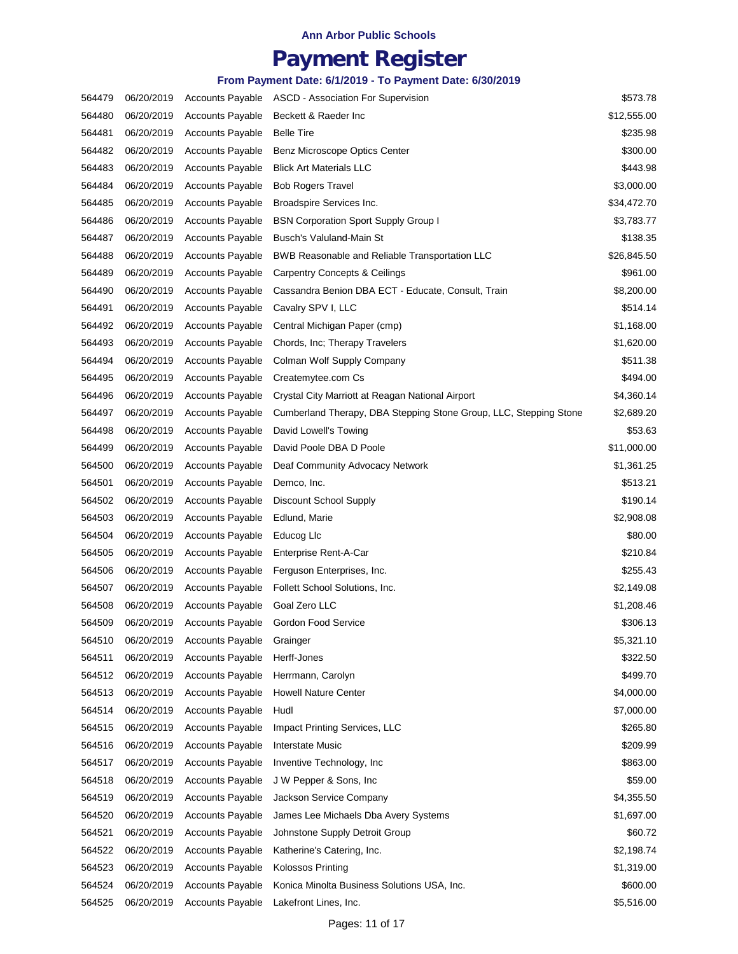## **Payment Register**

| 564479 | 06/20/2019 | <b>Accounts Payable</b> | <b>ASCD - Association For Supervision</b>                         | \$573.78    |
|--------|------------|-------------------------|-------------------------------------------------------------------|-------------|
| 564480 | 06/20/2019 | <b>Accounts Payable</b> | Beckett & Raeder Inc                                              | \$12,555.00 |
| 564481 | 06/20/2019 | <b>Accounts Payable</b> | <b>Belle Tire</b>                                                 | \$235.98    |
| 564482 | 06/20/2019 | <b>Accounts Payable</b> | Benz Microscope Optics Center                                     | \$300.00    |
| 564483 | 06/20/2019 | <b>Accounts Payable</b> | <b>Blick Art Materials LLC</b>                                    | \$443.98    |
| 564484 | 06/20/2019 | <b>Accounts Payable</b> | <b>Bob Rogers Travel</b>                                          | \$3,000.00  |
| 564485 | 06/20/2019 | <b>Accounts Payable</b> | Broadspire Services Inc.                                          | \$34,472.70 |
| 564486 | 06/20/2019 | <b>Accounts Payable</b> | <b>BSN Corporation Sport Supply Group I</b>                       | \$3,783.77  |
| 564487 | 06/20/2019 | <b>Accounts Payable</b> | Busch's Valuland-Main St                                          | \$138.35    |
| 564488 | 06/20/2019 | <b>Accounts Payable</b> | BWB Reasonable and Reliable Transportation LLC                    | \$26,845.50 |
| 564489 | 06/20/2019 | <b>Accounts Payable</b> | Carpentry Concepts & Ceilings                                     | \$961.00    |
| 564490 | 06/20/2019 | <b>Accounts Payable</b> | Cassandra Benion DBA ECT - Educate, Consult, Train                | \$8,200.00  |
| 564491 | 06/20/2019 | <b>Accounts Payable</b> | Cavalry SPV I, LLC                                                | \$514.14    |
| 564492 | 06/20/2019 | <b>Accounts Payable</b> | Central Michigan Paper (cmp)                                      | \$1,168.00  |
| 564493 | 06/20/2019 | <b>Accounts Payable</b> | Chords, Inc; Therapy Travelers                                    | \$1,620.00  |
| 564494 | 06/20/2019 | <b>Accounts Payable</b> | Colman Wolf Supply Company                                        | \$511.38    |
| 564495 | 06/20/2019 | <b>Accounts Payable</b> | Createmytee.com Cs                                                | \$494.00    |
| 564496 | 06/20/2019 | <b>Accounts Payable</b> | Crystal City Marriott at Reagan National Airport                  | \$4,360.14  |
| 564497 | 06/20/2019 | <b>Accounts Payable</b> | Cumberland Therapy, DBA Stepping Stone Group, LLC, Stepping Stone | \$2,689.20  |
| 564498 | 06/20/2019 | <b>Accounts Payable</b> | David Lowell's Towing                                             | \$53.63     |
| 564499 | 06/20/2019 | <b>Accounts Payable</b> | David Poole DBA D Poole                                           | \$11,000.00 |
| 564500 | 06/20/2019 | <b>Accounts Payable</b> | Deaf Community Advocacy Network                                   | \$1,361.25  |
| 564501 | 06/20/2019 | Accounts Payable        | Demco, Inc.                                                       | \$513.21    |
| 564502 | 06/20/2019 | <b>Accounts Payable</b> | Discount School Supply                                            | \$190.14    |
| 564503 | 06/20/2019 | <b>Accounts Payable</b> | Edlund, Marie                                                     | \$2,908.08  |
| 564504 | 06/20/2019 | <b>Accounts Payable</b> | Educog Lic                                                        | \$80.00     |
| 564505 | 06/20/2019 | <b>Accounts Payable</b> | Enterprise Rent-A-Car                                             | \$210.84    |
| 564506 | 06/20/2019 | <b>Accounts Payable</b> | Ferguson Enterprises, Inc.                                        | \$255.43    |
| 564507 | 06/20/2019 | <b>Accounts Payable</b> | Follett School Solutions, Inc.                                    | \$2,149.08  |
| 564508 | 06/20/2019 | <b>Accounts Payable</b> | Goal Zero LLC                                                     | \$1,208.46  |
| 564509 | 06/20/2019 | <b>Accounts Payable</b> | Gordon Food Service                                               | \$306.13    |
| 564510 | 06/20/2019 | <b>Accounts Payable</b> | Grainger                                                          | \$5,321.10  |
| 564511 | 06/20/2019 | <b>Accounts Payable</b> | Herff-Jones                                                       | \$322.50    |
| 564512 | 06/20/2019 | <b>Accounts Payable</b> | Herrmann, Carolyn                                                 | \$499.70    |
| 564513 | 06/20/2019 | <b>Accounts Payable</b> | <b>Howell Nature Center</b>                                       | \$4,000.00  |
| 564514 | 06/20/2019 | <b>Accounts Payable</b> | Hudl                                                              | \$7,000.00  |
| 564515 | 06/20/2019 | <b>Accounts Payable</b> | Impact Printing Services, LLC                                     | \$265.80    |
| 564516 | 06/20/2019 | <b>Accounts Payable</b> | Interstate Music                                                  | \$209.99    |
| 564517 | 06/20/2019 | <b>Accounts Payable</b> | Inventive Technology, Inc.                                        | \$863.00    |
| 564518 | 06/20/2019 | <b>Accounts Payable</b> | J W Pepper & Sons, Inc.                                           | \$59.00     |
| 564519 | 06/20/2019 | <b>Accounts Payable</b> | Jackson Service Company                                           | \$4,355.50  |
| 564520 | 06/20/2019 | <b>Accounts Payable</b> | James Lee Michaels Dba Avery Systems                              | \$1,697.00  |
| 564521 | 06/20/2019 | <b>Accounts Payable</b> | Johnstone Supply Detroit Group                                    | \$60.72     |
| 564522 | 06/20/2019 | <b>Accounts Payable</b> | Katherine's Catering, Inc.                                        | \$2,198.74  |
| 564523 | 06/20/2019 | <b>Accounts Payable</b> | <b>Kolossos Printing</b>                                          | \$1,319.00  |
| 564524 | 06/20/2019 | <b>Accounts Payable</b> | Konica Minolta Business Solutions USA, Inc.                       | \$600.00    |
| 564525 | 06/20/2019 | Accounts Payable        | Lakefront Lines, Inc.                                             | \$5,516.00  |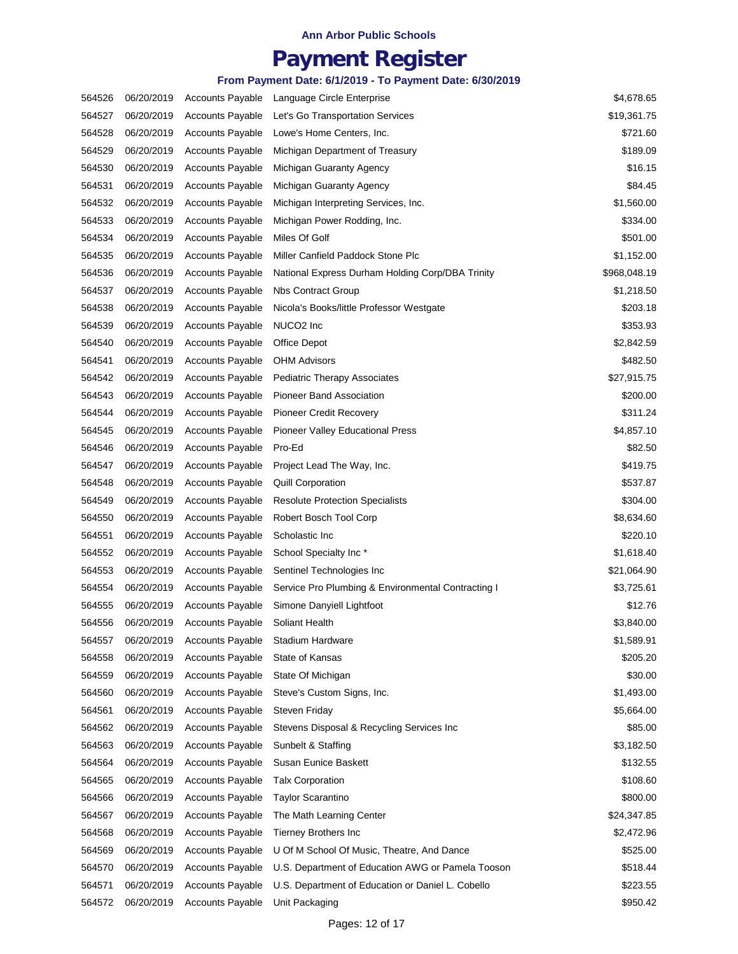## **Payment Register**

| 564526 | 06/20/2019 | <b>Accounts Payable</b> | Language Circle Enterprise                         | \$4,678.65   |
|--------|------------|-------------------------|----------------------------------------------------|--------------|
| 564527 | 06/20/2019 | <b>Accounts Payable</b> | Let's Go Transportation Services                   | \$19,361.75  |
| 564528 | 06/20/2019 | <b>Accounts Payable</b> | Lowe's Home Centers, Inc.                          | \$721.60     |
| 564529 | 06/20/2019 | <b>Accounts Payable</b> | Michigan Department of Treasury                    | \$189.09     |
| 564530 | 06/20/2019 | <b>Accounts Payable</b> | Michigan Guaranty Agency                           | \$16.15      |
| 564531 | 06/20/2019 | <b>Accounts Payable</b> | Michigan Guaranty Agency                           | \$84.45      |
| 564532 | 06/20/2019 | <b>Accounts Payable</b> | Michigan Interpreting Services, Inc.               | \$1,560.00   |
| 564533 | 06/20/2019 | <b>Accounts Payable</b> | Michigan Power Rodding, Inc.                       | \$334.00     |
| 564534 | 06/20/2019 | <b>Accounts Payable</b> | Miles Of Golf                                      | \$501.00     |
| 564535 | 06/20/2019 | <b>Accounts Payable</b> | Miller Canfield Paddock Stone Plc                  | \$1,152.00   |
| 564536 | 06/20/2019 | <b>Accounts Payable</b> | National Express Durham Holding Corp/DBA Trinity   | \$968,048.19 |
| 564537 | 06/20/2019 | <b>Accounts Payable</b> | Nbs Contract Group                                 | \$1,218.50   |
| 564538 | 06/20/2019 | <b>Accounts Payable</b> | Nicola's Books/little Professor Westgate           | \$203.18     |
| 564539 | 06/20/2019 | <b>Accounts Payable</b> | NUCO <sub>2</sub> Inc                              | \$353.93     |
| 564540 | 06/20/2019 | <b>Accounts Payable</b> | Office Depot                                       | \$2,842.59   |
| 564541 | 06/20/2019 | <b>Accounts Payable</b> | <b>OHM Advisors</b>                                | \$482.50     |
| 564542 | 06/20/2019 | <b>Accounts Payable</b> | <b>Pediatric Therapy Associates</b>                | \$27,915.75  |
| 564543 | 06/20/2019 | <b>Accounts Payable</b> | Pioneer Band Association                           | \$200.00     |
| 564544 | 06/20/2019 | <b>Accounts Payable</b> | <b>Pioneer Credit Recovery</b>                     | \$311.24     |
| 564545 | 06/20/2019 | <b>Accounts Payable</b> | Pioneer Valley Educational Press                   | \$4,857.10   |
| 564546 | 06/20/2019 | <b>Accounts Payable</b> | Pro-Ed                                             | \$82.50      |
| 564547 | 06/20/2019 | <b>Accounts Payable</b> | Project Lead The Way, Inc.                         | \$419.75     |
| 564548 | 06/20/2019 | <b>Accounts Payable</b> | <b>Quill Corporation</b>                           | \$537.87     |
| 564549 | 06/20/2019 | <b>Accounts Payable</b> | <b>Resolute Protection Specialists</b>             | \$304.00     |
| 564550 | 06/20/2019 | <b>Accounts Payable</b> | Robert Bosch Tool Corp                             | \$8,634.60   |
| 564551 | 06/20/2019 | <b>Accounts Payable</b> | Scholastic Inc                                     | \$220.10     |
| 564552 | 06/20/2019 | <b>Accounts Payable</b> | School Specialty Inc*                              | \$1,618.40   |
| 564553 | 06/20/2019 | <b>Accounts Payable</b> | Sentinel Technologies Inc                          | \$21,064.90  |
| 564554 | 06/20/2019 | <b>Accounts Payable</b> | Service Pro Plumbing & Environmental Contracting I | \$3,725.61   |
| 564555 | 06/20/2019 | <b>Accounts Payable</b> | Simone Danyiell Lightfoot                          | \$12.76      |
| 564556 | 06/20/2019 | <b>Accounts Payable</b> | Soliant Health                                     | \$3,840.00   |
| 564557 | 06/20/2019 | <b>Accounts Payable</b> | Stadium Hardware                                   | \$1,589.91   |
| 564558 | 06/20/2019 | <b>Accounts Payable</b> | State of Kansas                                    | \$205.20     |
| 564559 | 06/20/2019 | <b>Accounts Payable</b> | State Of Michigan                                  | \$30.00      |
| 564560 | 06/20/2019 | <b>Accounts Payable</b> | Steve's Custom Signs, Inc.                         | \$1,493.00   |
| 564561 | 06/20/2019 | <b>Accounts Payable</b> | Steven Friday                                      | \$5,664.00   |
| 564562 | 06/20/2019 | <b>Accounts Payable</b> | Stevens Disposal & Recycling Services Inc          | \$85.00      |
| 564563 | 06/20/2019 | <b>Accounts Payable</b> | Sunbelt & Staffing                                 | \$3,182.50   |
| 564564 | 06/20/2019 | <b>Accounts Payable</b> | Susan Eunice Baskett                               | \$132.55     |
| 564565 | 06/20/2019 | <b>Accounts Payable</b> | <b>Talx Corporation</b>                            | \$108.60     |
| 564566 | 06/20/2019 | <b>Accounts Payable</b> | <b>Taylor Scarantino</b>                           | \$800.00     |
| 564567 | 06/20/2019 | <b>Accounts Payable</b> | The Math Learning Center                           | \$24,347.85  |
| 564568 | 06/20/2019 | <b>Accounts Payable</b> | <b>Tierney Brothers Inc</b>                        | \$2,472.96   |
| 564569 | 06/20/2019 | <b>Accounts Payable</b> | U Of M School Of Music, Theatre, And Dance         | \$525.00     |
| 564570 | 06/20/2019 | <b>Accounts Payable</b> | U.S. Department of Education AWG or Pamela Tooson  | \$518.44     |
| 564571 | 06/20/2019 | <b>Accounts Payable</b> | U.S. Department of Education or Daniel L. Cobello  | \$223.55     |
| 564572 | 06/20/2019 | Accounts Payable        | Unit Packaging                                     | \$950.42     |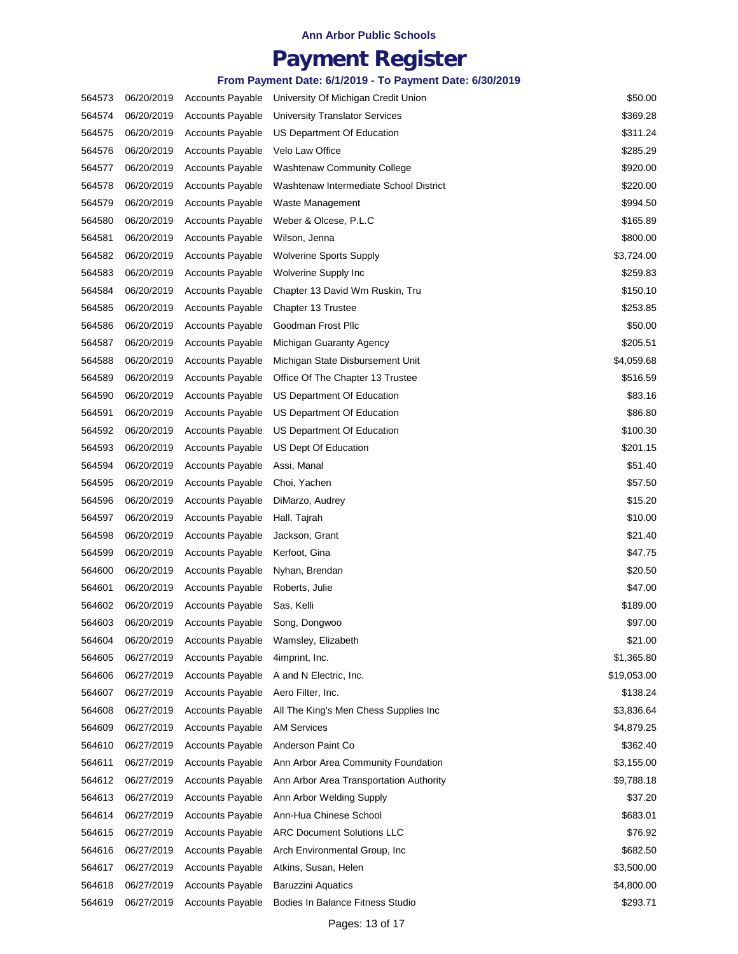## **Payment Register**

| 564573 | 06/20/2019 | <b>Accounts Payable</b> | University Of Michigan Credit Union     | \$50.00     |
|--------|------------|-------------------------|-----------------------------------------|-------------|
| 564574 | 06/20/2019 | <b>Accounts Payable</b> | <b>University Translator Services</b>   | \$369.28    |
| 564575 | 06/20/2019 | <b>Accounts Payable</b> | US Department Of Education              | \$311.24    |
| 564576 | 06/20/2019 | <b>Accounts Payable</b> | Velo Law Office                         | \$285.29    |
| 564577 | 06/20/2019 | <b>Accounts Payable</b> | <b>Washtenaw Community College</b>      | \$920.00    |
| 564578 | 06/20/2019 | <b>Accounts Payable</b> | Washtenaw Intermediate School District  | \$220.00    |
| 564579 | 06/20/2019 | <b>Accounts Payable</b> | Waste Management                        | \$994.50    |
| 564580 | 06/20/2019 | <b>Accounts Payable</b> | Weber & Olcese, P.L.C                   | \$165.89    |
| 564581 | 06/20/2019 | <b>Accounts Payable</b> | Wilson, Jenna                           | \$800.00    |
| 564582 | 06/20/2019 | <b>Accounts Payable</b> | <b>Wolverine Sports Supply</b>          | \$3,724.00  |
| 564583 | 06/20/2019 | <b>Accounts Payable</b> | Wolverine Supply Inc                    | \$259.83    |
| 564584 | 06/20/2019 | <b>Accounts Payable</b> | Chapter 13 David Wm Ruskin, Tru         | \$150.10    |
| 564585 | 06/20/2019 | <b>Accounts Payable</b> | Chapter 13 Trustee                      | \$253.85    |
| 564586 | 06/20/2019 | <b>Accounts Payable</b> | Goodman Frost Pllc                      | \$50.00     |
| 564587 | 06/20/2019 | <b>Accounts Payable</b> | Michigan Guaranty Agency                | \$205.51    |
| 564588 | 06/20/2019 | <b>Accounts Payable</b> | Michigan State Disbursement Unit        | \$4,059.68  |
| 564589 | 06/20/2019 | <b>Accounts Payable</b> | Office Of The Chapter 13 Trustee        | \$516.59    |
| 564590 | 06/20/2019 | <b>Accounts Payable</b> | US Department Of Education              | \$83.16     |
| 564591 | 06/20/2019 | <b>Accounts Payable</b> | US Department Of Education              | \$86.80     |
| 564592 | 06/20/2019 | <b>Accounts Payable</b> | US Department Of Education              | \$100.30    |
| 564593 | 06/20/2019 | <b>Accounts Payable</b> | US Dept Of Education                    | \$201.15    |
| 564594 | 06/20/2019 | <b>Accounts Payable</b> | Assi, Manal                             | \$51.40     |
| 564595 | 06/20/2019 | <b>Accounts Payable</b> | Choi, Yachen                            | \$57.50     |
| 564596 | 06/20/2019 | <b>Accounts Payable</b> | DiMarzo, Audrey                         | \$15.20     |
| 564597 | 06/20/2019 | <b>Accounts Payable</b> | Hall, Tajrah                            | \$10.00     |
| 564598 | 06/20/2019 | <b>Accounts Payable</b> | Jackson, Grant                          | \$21.40     |
| 564599 | 06/20/2019 | <b>Accounts Payable</b> | Kerfoot, Gina                           | \$47.75     |
| 564600 | 06/20/2019 | <b>Accounts Payable</b> | Nyhan, Brendan                          | \$20.50     |
| 564601 | 06/20/2019 | <b>Accounts Payable</b> | Roberts, Julie                          | \$47.00     |
| 564602 | 06/20/2019 | <b>Accounts Payable</b> | Sas, Kelli                              | \$189.00    |
| 564603 | 06/20/2019 | <b>Accounts Payable</b> | Song, Dongwoo                           | \$97.00     |
| 564604 | 06/20/2019 | <b>Accounts Payable</b> | Wamsley, Elizabeth                      | \$21.00     |
| 564605 | 06/27/2019 | <b>Accounts Payable</b> | 4imprint, Inc.                          | \$1,365.80  |
| 564606 | 06/27/2019 | <b>Accounts Payable</b> | A and N Electric, Inc.                  | \$19,053.00 |
| 564607 | 06/27/2019 | <b>Accounts Payable</b> | Aero Filter, Inc.                       | \$138.24    |
| 564608 | 06/27/2019 | <b>Accounts Payable</b> | All The King's Men Chess Supplies Inc   | \$3,836.64  |
| 564609 | 06/27/2019 | <b>Accounts Payable</b> | <b>AM Services</b>                      | \$4,879.25  |
| 564610 | 06/27/2019 | <b>Accounts Payable</b> | Anderson Paint Co                       | \$362.40    |
| 564611 | 06/27/2019 | <b>Accounts Payable</b> | Ann Arbor Area Community Foundation     | \$3,155.00  |
| 564612 | 06/27/2019 | <b>Accounts Payable</b> | Ann Arbor Area Transportation Authority | \$9,788.18  |
| 564613 | 06/27/2019 | <b>Accounts Payable</b> | Ann Arbor Welding Supply                | \$37.20     |
| 564614 | 06/27/2019 | <b>Accounts Payable</b> | Ann-Hua Chinese School                  | \$683.01    |
| 564615 | 06/27/2019 | <b>Accounts Payable</b> | <b>ARC Document Solutions LLC</b>       | \$76.92     |
| 564616 | 06/27/2019 | <b>Accounts Payable</b> | Arch Environmental Group, Inc.          | \$682.50    |
| 564617 | 06/27/2019 | <b>Accounts Payable</b> | Atkins, Susan, Helen                    | \$3,500.00  |
| 564618 | 06/27/2019 | <b>Accounts Payable</b> | <b>Baruzzini Aquatics</b>               | \$4,800.00  |
| 564619 | 06/27/2019 | Accounts Payable        | Bodies In Balance Fitness Studio        | \$293.71    |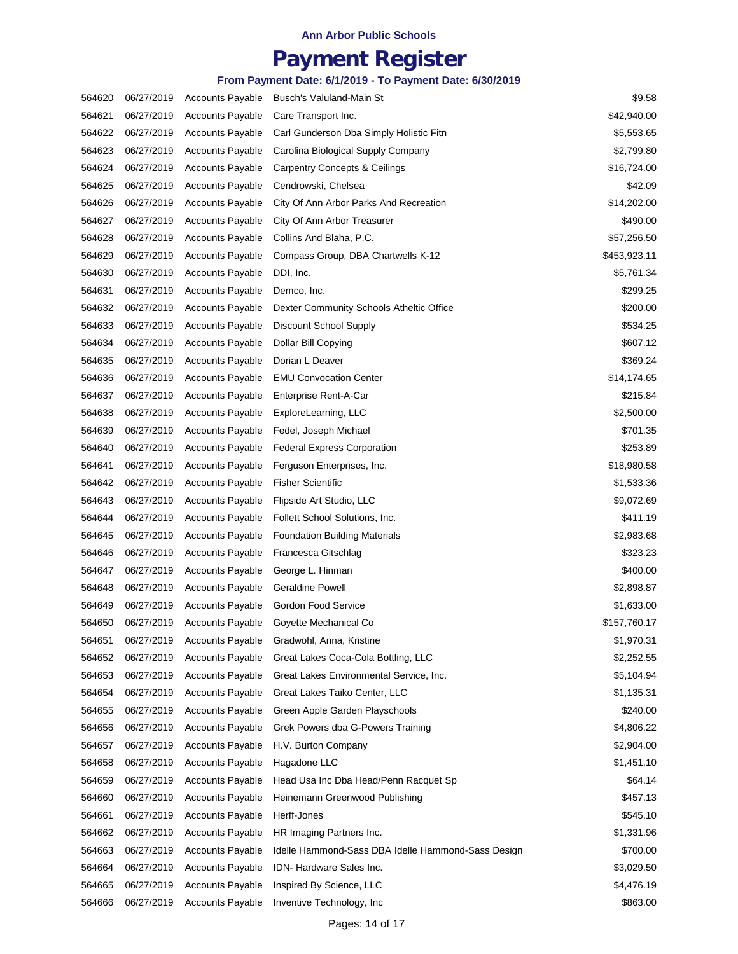## **Payment Register**

| 564620 | 06/27/2019 | <b>Accounts Payable</b> | Busch's Valuland-Main St                           | \$9.58       |
|--------|------------|-------------------------|----------------------------------------------------|--------------|
| 564621 | 06/27/2019 | <b>Accounts Payable</b> | Care Transport Inc.                                | \$42,940.00  |
| 564622 | 06/27/2019 | <b>Accounts Payable</b> | Carl Gunderson Dba Simply Holistic Fitn            | \$5,553.65   |
| 564623 | 06/27/2019 | <b>Accounts Payable</b> | Carolina Biological Supply Company                 | \$2,799.80   |
| 564624 | 06/27/2019 | <b>Accounts Payable</b> | <b>Carpentry Concepts &amp; Ceilings</b>           | \$16,724.00  |
| 564625 | 06/27/2019 | <b>Accounts Payable</b> | Cendrowski, Chelsea                                | \$42.09      |
| 564626 | 06/27/2019 | <b>Accounts Payable</b> | City Of Ann Arbor Parks And Recreation             | \$14,202.00  |
| 564627 | 06/27/2019 | <b>Accounts Payable</b> | City Of Ann Arbor Treasurer                        | \$490.00     |
| 564628 | 06/27/2019 | <b>Accounts Payable</b> | Collins And Blaha, P.C.                            | \$57,256.50  |
| 564629 | 06/27/2019 | <b>Accounts Payable</b> | Compass Group, DBA Chartwells K-12                 | \$453,923.11 |
| 564630 | 06/27/2019 | <b>Accounts Payable</b> | DDI, Inc.                                          | \$5,761.34   |
| 564631 | 06/27/2019 | <b>Accounts Payable</b> | Demco, Inc.                                        | \$299.25     |
| 564632 | 06/27/2019 | <b>Accounts Payable</b> | Dexter Community Schools Atheltic Office           | \$200.00     |
| 564633 | 06/27/2019 | <b>Accounts Payable</b> | Discount School Supply                             | \$534.25     |
| 564634 | 06/27/2019 | <b>Accounts Payable</b> | Dollar Bill Copying                                | \$607.12     |
| 564635 | 06/27/2019 | <b>Accounts Payable</b> | Dorian L Deaver                                    | \$369.24     |
| 564636 | 06/27/2019 | <b>Accounts Payable</b> | <b>EMU Convocation Center</b>                      | \$14,174.65  |
| 564637 | 06/27/2019 | <b>Accounts Payable</b> | Enterprise Rent-A-Car                              | \$215.84     |
| 564638 | 06/27/2019 | <b>Accounts Payable</b> | ExploreLearning, LLC                               | \$2,500.00   |
| 564639 | 06/27/2019 | <b>Accounts Payable</b> | Fedel, Joseph Michael                              | \$701.35     |
| 564640 | 06/27/2019 | <b>Accounts Payable</b> | <b>Federal Express Corporation</b>                 | \$253.89     |
| 564641 | 06/27/2019 | <b>Accounts Payable</b> | Ferguson Enterprises, Inc.                         | \$18,980.58  |
| 564642 | 06/27/2019 | <b>Accounts Payable</b> | <b>Fisher Scientific</b>                           | \$1,533.36   |
| 564643 | 06/27/2019 | <b>Accounts Payable</b> | Flipside Art Studio, LLC                           | \$9,072.69   |
| 564644 | 06/27/2019 | <b>Accounts Payable</b> | Follett School Solutions, Inc.                     | \$411.19     |
| 564645 | 06/27/2019 | <b>Accounts Payable</b> | <b>Foundation Building Materials</b>               | \$2,983.68   |
| 564646 | 06/27/2019 | <b>Accounts Payable</b> | Francesca Gitschlag                                | \$323.23     |
| 564647 | 06/27/2019 | <b>Accounts Payable</b> | George L. Hinman                                   | \$400.00     |
| 564648 | 06/27/2019 | <b>Accounts Payable</b> | <b>Geraldine Powell</b>                            | \$2,898.87   |
| 564649 | 06/27/2019 | <b>Accounts Payable</b> | Gordon Food Service                                | \$1,633.00   |
| 564650 | 06/27/2019 | <b>Accounts Payable</b> | Goyette Mechanical Co                              | \$157,760.17 |
| 564651 | 06/27/2019 | <b>Accounts Payable</b> | Gradwohl, Anna, Kristine                           | \$1,970.31   |
| 564652 | 06/27/2019 | <b>Accounts Payable</b> | Great Lakes Coca-Cola Bottling, LLC                | \$2,252.55   |
| 564653 | 06/27/2019 | <b>Accounts Payable</b> | Great Lakes Environmental Service, Inc.            | \$5,104.94   |
| 564654 | 06/27/2019 | <b>Accounts Payable</b> | Great Lakes Taiko Center, LLC                      | \$1,135.31   |
| 564655 | 06/27/2019 | <b>Accounts Payable</b> | Green Apple Garden Playschools                     | \$240.00     |
| 564656 | 06/27/2019 | <b>Accounts Payable</b> | Grek Powers dba G-Powers Training                  | \$4,806.22   |
| 564657 | 06/27/2019 | <b>Accounts Payable</b> | H.V. Burton Company                                | \$2,904.00   |
| 564658 | 06/27/2019 | <b>Accounts Payable</b> | Hagadone LLC                                       | \$1,451.10   |
| 564659 | 06/27/2019 | <b>Accounts Payable</b> | Head Usa Inc Dba Head/Penn Racquet Sp              | \$64.14      |
| 564660 | 06/27/2019 | <b>Accounts Payable</b> | Heinemann Greenwood Publishing                     | \$457.13     |
| 564661 | 06/27/2019 | <b>Accounts Payable</b> | Herff-Jones                                        | \$545.10     |
| 564662 | 06/27/2019 | <b>Accounts Payable</b> | HR Imaging Partners Inc.                           | \$1,331.96   |
| 564663 | 06/27/2019 | <b>Accounts Payable</b> | Idelle Hammond-Sass DBA Idelle Hammond-Sass Design | \$700.00     |
| 564664 | 06/27/2019 | <b>Accounts Payable</b> | IDN- Hardware Sales Inc.                           | \$3,029.50   |
| 564665 | 06/27/2019 | <b>Accounts Payable</b> | Inspired By Science, LLC                           | \$4,476.19   |
| 564666 | 06/27/2019 | <b>Accounts Payable</b> | Inventive Technology, Inc                          | \$863.00     |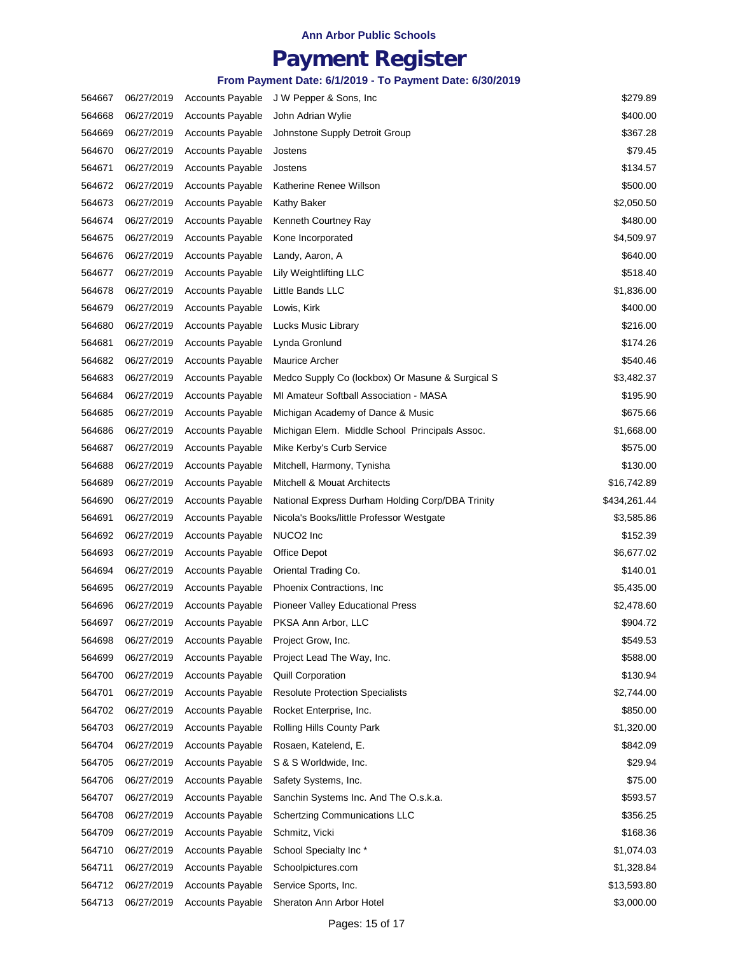## **Payment Register**

| 564667 | 06/27/2019 | <b>Accounts Payable</b> | J W Pepper & Sons, Inc                           | \$279.89     |
|--------|------------|-------------------------|--------------------------------------------------|--------------|
| 564668 | 06/27/2019 | <b>Accounts Payable</b> | John Adrian Wylie                                | \$400.00     |
| 564669 | 06/27/2019 | <b>Accounts Payable</b> | Johnstone Supply Detroit Group                   | \$367.28     |
| 564670 | 06/27/2019 | <b>Accounts Payable</b> | Jostens                                          | \$79.45      |
| 564671 | 06/27/2019 | <b>Accounts Payable</b> | Jostens                                          | \$134.57     |
| 564672 | 06/27/2019 | <b>Accounts Payable</b> | Katherine Renee Willson                          | \$500.00     |
| 564673 | 06/27/2019 | <b>Accounts Payable</b> | Kathy Baker                                      | \$2,050.50   |
| 564674 | 06/27/2019 | <b>Accounts Payable</b> | Kenneth Courtney Ray                             | \$480.00     |
| 564675 | 06/27/2019 | <b>Accounts Payable</b> | Kone Incorporated                                | \$4,509.97   |
| 564676 | 06/27/2019 | <b>Accounts Payable</b> | Landy, Aaron, A                                  | \$640.00     |
| 564677 | 06/27/2019 | <b>Accounts Payable</b> | Lily Weightlifting LLC                           | \$518.40     |
| 564678 | 06/27/2019 | <b>Accounts Payable</b> | Little Bands LLC                                 | \$1,836.00   |
| 564679 | 06/27/2019 | <b>Accounts Payable</b> | Lowis, Kirk                                      | \$400.00     |
| 564680 | 06/27/2019 | <b>Accounts Payable</b> | Lucks Music Library                              | \$216.00     |
| 564681 | 06/27/2019 | <b>Accounts Payable</b> | Lynda Gronlund                                   | \$174.26     |
| 564682 | 06/27/2019 | <b>Accounts Payable</b> | Maurice Archer                                   | \$540.46     |
| 564683 | 06/27/2019 | <b>Accounts Payable</b> | Medco Supply Co (lockbox) Or Masune & Surgical S | \$3,482.37   |
| 564684 | 06/27/2019 | <b>Accounts Payable</b> | MI Amateur Softball Association - MASA           | \$195.90     |
| 564685 | 06/27/2019 | <b>Accounts Payable</b> | Michigan Academy of Dance & Music                | \$675.66     |
| 564686 | 06/27/2019 | <b>Accounts Payable</b> | Michigan Elem. Middle School Principals Assoc.   | \$1,668.00   |
| 564687 | 06/27/2019 | <b>Accounts Payable</b> | Mike Kerby's Curb Service                        | \$575.00     |
| 564688 | 06/27/2019 | <b>Accounts Payable</b> | Mitchell, Harmony, Tynisha                       | \$130.00     |
| 564689 | 06/27/2019 | <b>Accounts Payable</b> | Mitchell & Mouat Architects                      | \$16,742.89  |
| 564690 | 06/27/2019 | <b>Accounts Payable</b> | National Express Durham Holding Corp/DBA Trinity | \$434,261.44 |
| 564691 | 06/27/2019 | <b>Accounts Payable</b> | Nicola's Books/little Professor Westgate         | \$3,585.86   |
| 564692 | 06/27/2019 | <b>Accounts Payable</b> | NUCO <sub>2</sub> Inc                            | \$152.39     |
| 564693 | 06/27/2019 | <b>Accounts Payable</b> | Office Depot                                     | \$6,677.02   |
| 564694 | 06/27/2019 | <b>Accounts Payable</b> | Oriental Trading Co.                             | \$140.01     |
| 564695 | 06/27/2019 | <b>Accounts Payable</b> | Phoenix Contractions, Inc.                       | \$5,435.00   |
| 564696 | 06/27/2019 | <b>Accounts Payable</b> | Pioneer Valley Educational Press                 | \$2,478.60   |
| 564697 | 06/27/2019 | <b>Accounts Payable</b> | PKSA Ann Arbor, LLC                              | \$904.72     |
| 564698 | 06/27/2019 | <b>Accounts Payable</b> | Project Grow, Inc.                               | \$549.53     |
| 564699 | 06/27/2019 | <b>Accounts Payable</b> | Project Lead The Way, Inc.                       | \$588.00     |
| 564700 | 06/27/2019 | <b>Accounts Payable</b> | <b>Quill Corporation</b>                         | \$130.94     |
| 564701 | 06/27/2019 | <b>Accounts Payable</b> | <b>Resolute Protection Specialists</b>           | \$2,744.00   |
| 564702 | 06/27/2019 | <b>Accounts Payable</b> | Rocket Enterprise, Inc.                          | \$850.00     |
| 564703 | 06/27/2019 | <b>Accounts Payable</b> | Rolling Hills County Park                        | \$1,320.00   |
| 564704 | 06/27/2019 | <b>Accounts Payable</b> | Rosaen, Katelend, E.                             | \$842.09     |
| 564705 | 06/27/2019 | <b>Accounts Payable</b> | S & S Worldwide, Inc.                            | \$29.94      |
| 564706 | 06/27/2019 | <b>Accounts Payable</b> | Safety Systems, Inc.                             | \$75.00      |
| 564707 | 06/27/2019 | <b>Accounts Payable</b> | Sanchin Systems Inc. And The O.s.k.a.            | \$593.57     |
| 564708 | 06/27/2019 | <b>Accounts Payable</b> | <b>Schertzing Communications LLC</b>             | \$356.25     |
| 564709 | 06/27/2019 | <b>Accounts Payable</b> | Schmitz, Vicki                                   | \$168.36     |
| 564710 | 06/27/2019 | <b>Accounts Payable</b> | School Specialty Inc*                            | \$1,074.03   |
| 564711 | 06/27/2019 | <b>Accounts Payable</b> | Schoolpictures.com                               | \$1,328.84   |
| 564712 | 06/27/2019 | <b>Accounts Payable</b> | Service Sports, Inc.                             | \$13,593.80  |
| 564713 | 06/27/2019 | <b>Accounts Payable</b> | Sheraton Ann Arbor Hotel                         | \$3,000.00   |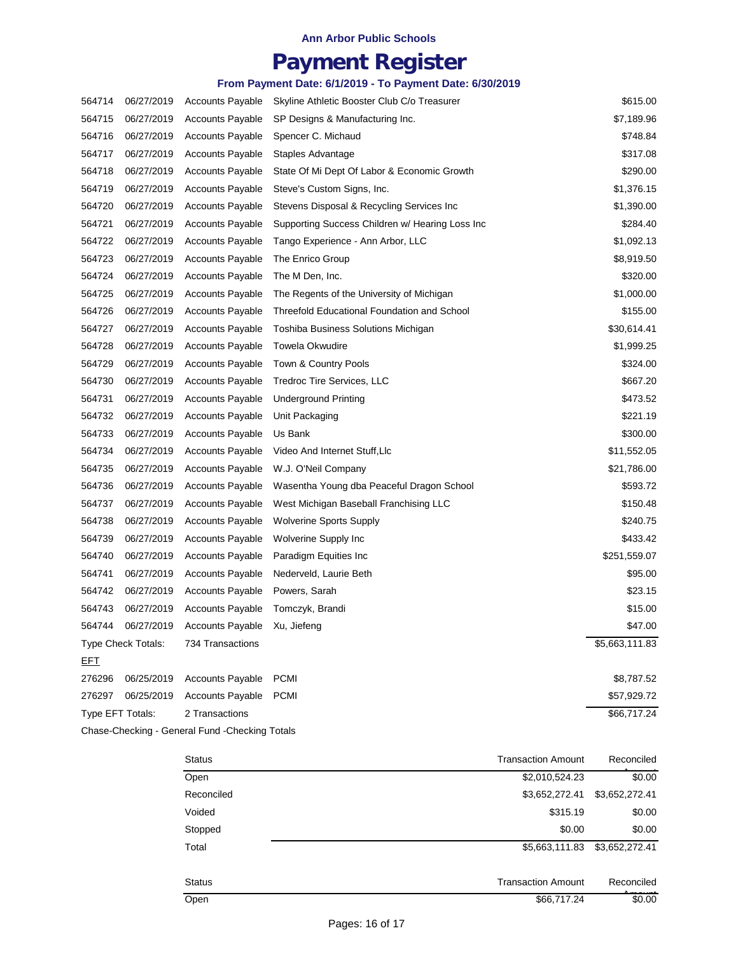# **Payment Register**

### **From Payment Date: 6/1/2019 - To Payment Date: 6/30/2019**

| 564714           | 06/27/2019         | <b>Accounts Payable</b> | Skyline Athletic Booster Club C/o Treasurer     | \$615.00       |
|------------------|--------------------|-------------------------|-------------------------------------------------|----------------|
| 564715           | 06/27/2019         | <b>Accounts Payable</b> | SP Designs & Manufacturing Inc.                 | \$7,189.96     |
| 564716           | 06/27/2019         | <b>Accounts Payable</b> | Spencer C. Michaud                              | \$748.84       |
| 564717           | 06/27/2019         | <b>Accounts Payable</b> | Staples Advantage                               | \$317.08       |
| 564718           | 06/27/2019         | <b>Accounts Payable</b> | State Of Mi Dept Of Labor & Economic Growth     | \$290.00       |
| 564719           | 06/27/2019         | <b>Accounts Payable</b> | Steve's Custom Signs, Inc.                      | \$1,376.15     |
| 564720           | 06/27/2019         | <b>Accounts Payable</b> | Stevens Disposal & Recycling Services Inc       | \$1,390.00     |
| 564721           | 06/27/2019         | <b>Accounts Payable</b> | Supporting Success Children w/ Hearing Loss Inc | \$284.40       |
| 564722           | 06/27/2019         | <b>Accounts Payable</b> | Tango Experience - Ann Arbor, LLC               | \$1,092.13     |
| 564723           | 06/27/2019         | <b>Accounts Payable</b> | The Enrico Group                                | \$8,919.50     |
| 564724           | 06/27/2019         | <b>Accounts Payable</b> | The M Den, Inc.                                 | \$320.00       |
| 564725           | 06/27/2019         | <b>Accounts Payable</b> | The Regents of the University of Michigan       | \$1,000.00     |
| 564726           | 06/27/2019         | <b>Accounts Payable</b> | Threefold Educational Foundation and School     | \$155.00       |
| 564727           | 06/27/2019         | <b>Accounts Payable</b> | Toshiba Business Solutions Michigan             | \$30,614.41    |
| 564728           | 06/27/2019         | <b>Accounts Payable</b> | Towela Okwudire                                 | \$1,999.25     |
| 564729           | 06/27/2019         | <b>Accounts Payable</b> | Town & Country Pools                            | \$324.00       |
| 564730           | 06/27/2019         | <b>Accounts Payable</b> | Tredroc Tire Services, LLC                      | \$667.20       |
| 564731           | 06/27/2019         | <b>Accounts Payable</b> | <b>Underground Printing</b>                     | \$473.52       |
| 564732           | 06/27/2019         | <b>Accounts Payable</b> | Unit Packaging                                  | \$221.19       |
| 564733           | 06/27/2019         | <b>Accounts Payable</b> | Us Bank                                         | \$300.00       |
| 564734           | 06/27/2019         | <b>Accounts Payable</b> | Video And Internet Stuff, Llc                   | \$11,552.05    |
| 564735           | 06/27/2019         | <b>Accounts Payable</b> | W.J. O'Neil Company                             | \$21,786.00    |
| 564736           | 06/27/2019         | <b>Accounts Payable</b> | Wasentha Young dba Peaceful Dragon School       | \$593.72       |
| 564737           | 06/27/2019         | <b>Accounts Payable</b> | West Michigan Baseball Franchising LLC          | \$150.48       |
| 564738           | 06/27/2019         | <b>Accounts Payable</b> | <b>Wolverine Sports Supply</b>                  | \$240.75       |
| 564739           | 06/27/2019         | <b>Accounts Payable</b> | Wolverine Supply Inc                            | \$433.42       |
| 564740           | 06/27/2019         | <b>Accounts Payable</b> | Paradigm Equities Inc.                          | \$251,559.07   |
| 564741           | 06/27/2019         | <b>Accounts Payable</b> | Nederveld, Laurie Beth                          | \$95.00        |
| 564742           | 06/27/2019         | <b>Accounts Payable</b> | Powers, Sarah                                   | \$23.15        |
| 564743           | 06/27/2019         | <b>Accounts Payable</b> | Tomczyk, Brandi                                 | \$15.00        |
| 564744           | 06/27/2019         | <b>Accounts Payable</b> | Xu, Jiefeng                                     | \$47.00        |
|                  | Type Check Totals: | 734 Transactions        |                                                 | \$5,663,111.83 |
| <u>EFT</u>       |                    |                         |                                                 |                |
| 276296           | 06/25/2019         | <b>Accounts Payable</b> | <b>PCMI</b>                                     | \$8,787.52     |
| 276297           | 06/25/2019         | <b>Accounts Payable</b> | <b>PCMI</b>                                     | \$57,929.72    |
| Type EFT Totals: |                    | 2 Transactions          |                                                 | \$66,717.24    |

Chase-Checking - General Fund -Checking Totals

| <b>Status</b> | <b>Transaction Amount</b> | Reconciled     |
|---------------|---------------------------|----------------|
| Open          | \$2,010,524.23            | \$0.00         |
| Reconciled    | \$3,652,272.41            | \$3,652,272.41 |
| Voided        | \$315.19                  | \$0.00         |
| Stopped       | \$0.00                    | \$0.00         |
| Total         | \$5,663,111.83            | \$3,652,272.41 |
| <b>Status</b> | <b>Transaction Amount</b> | Reconciled     |
| Open          | \$66,717.24               | \$0.00         |